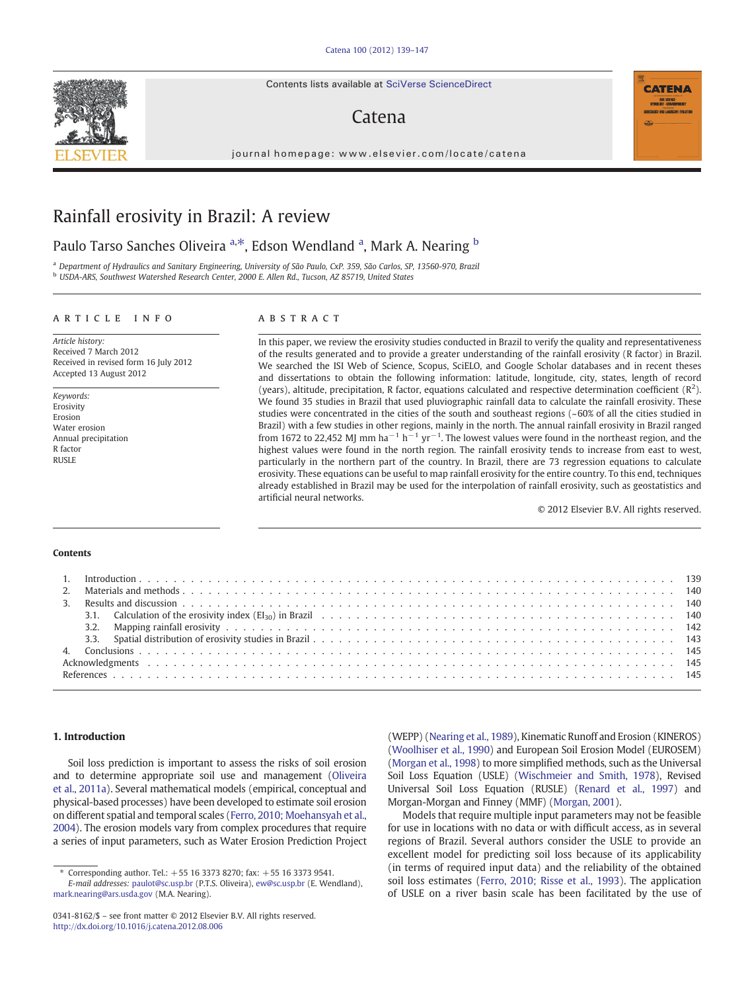Contents lists available at SciVerse ScienceDirect

# Catena

journal homepage: www.elsevier.com/locate/catena

# Rainfall erosivity in Brazil: A review

## Paulo Tarso Sanches Oliveira <sup>a,\*</sup>, Edson Wendland <sup>a</sup>, Mark A. Nearing <sup>b</sup>

<sup>a</sup> Department of Hydraulics and Sanitary Engineering, University of São Paulo, CxP. 359, São Carlos, SP, 13560-970, Brazil <sup>b</sup> USDA-ARS, Southwest Watershed Research Center, 2000 E. Allen Rd., Tucson, AZ 85719, United States

#### article info abstract

Article history: Received 7 March 2012 Received in revised form 16 July 2012 Accepted 13 August 2012

Keywords: Erosivity Erosion Water erosion Annual precipitation R factor RUSLE

In this paper, we review the erosivity studies conducted in Brazil to verify the quality and representativeness of the results generated and to provide a greater understanding of the rainfall erosivity (R factor) in Brazil. We searched the ISI Web of Science, Scopus, SciELO, and Google Scholar databases and in recent theses and dissertations to obtain the following information: latitude, longitude, city, states, length of record (years), altitude, precipitation, R factor, equations calculated and respective determination coefficient  $(R^2)$ . We found 35 studies in Brazil that used pluviographic rainfall data to calculate the rainfall erosivity. These studies were concentrated in the cities of the south and southeast regions (~60% of all the cities studied in Brazil) with a few studies in other regions, mainly in the north. The annual rainfall erosivity in Brazil ranged from 1672 to 22,452 MJ mm ha<sup>-1</sup> h<sup>-1</sup> yr<sup>-1</sup>. The lowest values were found in the northeast region, and the highest values were found in the north region. The rainfall erosivity tends to increase from east to west, particularly in the northern part of the country. In Brazil, there are 73 regression equations to calculate erosivity. These equations can be useful to map rainfall erosivity for the entire country. To this end, techniques already established in Brazil may be used for the interpolation of rainfall erosivity, such as geostatistics and artificial neural networks.

© 2012 Elsevier B.V. All rights reserved.

**CATENA** 

#### Contents

### 1. Introduction

Soil loss prediction is important to assess the risks of soil erosion and to determine appropriate soil use and management [\(Oliveira](#page-7-0) [et al., 2011a](#page-7-0)). Several mathematical models (empirical, conceptual and physical-based processes) have been developed to estimate soil erosion on different spatial and temporal scales ([Ferro, 2010; Moehansyah et al.,](#page-7-0) [2004](#page-7-0)). The erosion models vary from complex procedures that require a series of input parameters, such as Water Erosion Prediction Project

⁎ Corresponding author. Tel.: +55 16 3373 8270; fax: +55 16 3373 9541.

(WEPP) ([Nearing et al., 1989\)](#page-7-0), Kinematic Runoff and Erosion (KINEROS) [\(Woolhiser et al., 1990\)](#page-8-0) and European Soil Erosion Model (EUROSEM) [\(Morgan et al., 1998](#page-7-0)) to more simplified methods, such as the Universal Soil Loss Equation (USLE) [\(Wischmeier and Smith, 1978\)](#page-8-0), Revised Universal Soil Loss Equation (RUSLE) [\(Renard et al., 1997](#page-7-0)) and Morgan-Morgan and Finney (MMF) [\(Morgan, 2001\)](#page-7-0).

Models that require multiple input parameters may not be feasible for use in locations with no data or with difficult access, as in several regions of Brazil. Several authors consider the USLE to provide an excellent model for predicting soil loss because of its applicability (in terms of required input data) and the reliability of the obtained soil loss estimates ([Ferro, 2010; Risse et al., 1993](#page-7-0)). The application of USLE on a river basin scale has been facilitated by the use of



E-mail addresses: [paulot@sc.usp.br](mailto:paulot@sc.usp.br) (P.T.S. Oliveira), [ew@sc.usp.br](mailto:ew@sc.usp.br) (E. Wendland), [mark.nearing@ars.usda.gov](mailto:mark.nearing@ars.usda.gov) (M.A. Nearing).

<sup>0341-8162/\$</sup> – see front matter © 2012 Elsevier B.V. All rights reserved. <http://dx.doi.org/10.1016/j.catena.2012.08.006>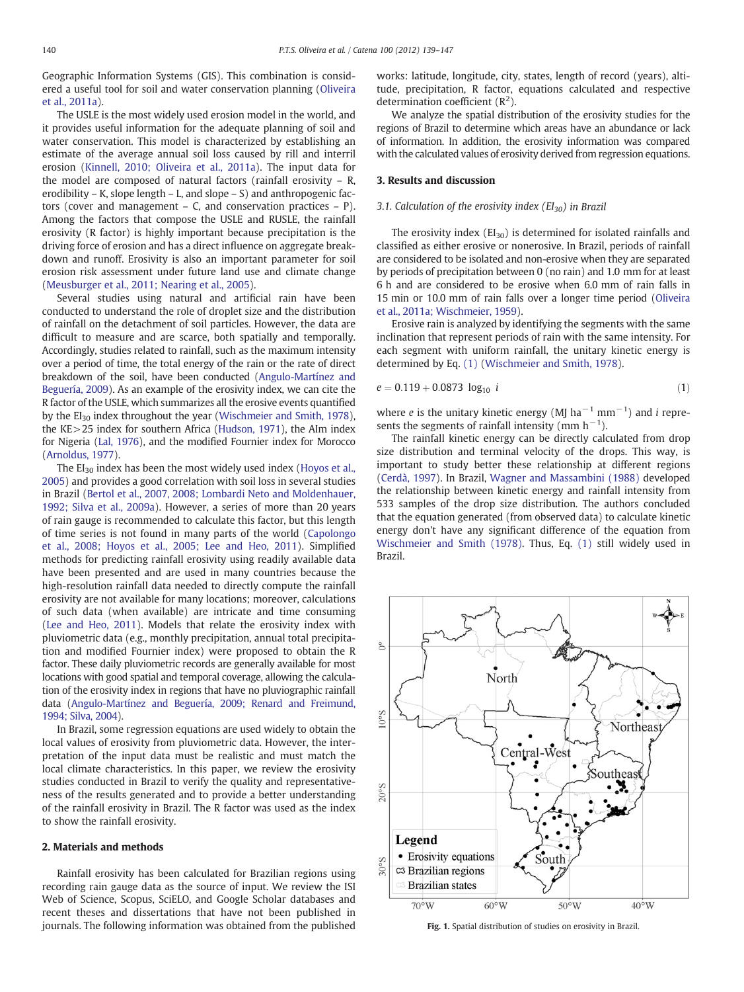<span id="page-1-0"></span>Geographic Information Systems (GIS). This combination is considered a useful tool for soil and water conservation planning [\(Oliveira](#page-7-0) et al.,  $2011a$ ).

The USLE is the most widely used erosion model in the world, and it provides useful information for the adequate planning of soil and water conservation. This model is characterized by establishing an estimate of the average annual soil loss caused by rill and interril erosion [\(Kinnell, 2010; Oliveira et al., 2011a\)](#page-7-0). The input data for the model are composed of natural factors (rainfall erosivity – R, erodibility – K, slope length – L, and slope – S) and anthropogenic factors (cover and management  $-$  C, and conservation practices  $-$  P). Among the factors that compose the USLE and RUSLE, the rainfall erosivity (R factor) is highly important because precipitation is the driving force of erosion and has a direct influence on aggregate breakdown and runoff. Erosivity is also an important parameter for soil erosion risk assessment under future land use and climate change [\(Meusburger et al., 2011; Nearing et al., 2005\)](#page-7-0).

Several studies using natural and artificial rain have been conducted to understand the role of droplet size and the distribution of rainfall on the detachment of soil particles. However, the data are difficult to measure and are scarce, both spatially and temporally. Accordingly, studies related to rainfall, such as the maximum intensity over a period of time, the total energy of the rain or the rate of direct breakdown of the soil, have been conducted [\(Angulo-Martínez and](#page-6-0) [Beguería, 2009\)](#page-6-0). As an example of the erosivity index, we can cite the R factor of the USLE, which summarizes all the erosive events quantified by the EI<sub>30</sub> index throughout the year [\(Wischmeier and Smith, 1978\)](#page-8-0), the KE>25 index for southern Africa ([Hudson, 1971\)](#page-7-0), the AIm index for Nigeria ([Lal, 1976](#page-7-0)), and the modified Fournier index for Morocco [\(Arnoldus, 1977](#page-6-0)).

The  $EI_{30}$  index has been the most widely used index ([Hoyos et al.,](#page-7-0) [2005\)](#page-7-0) and provides a good correlation with soil loss in several studies in Brazil ([Bertol et al., 2007, 2008; Lombardi Neto and Moldenhauer,](#page-6-0) [1992; Silva et al., 2009a\)](#page-6-0). However, a series of more than 20 years of rain gauge is recommended to calculate this factor, but this length of time series is not found in many parts of the world [\(Capolongo](#page-7-0) [et al., 2008; Hoyos et al., 2005; Lee and Heo, 2011](#page-7-0)). Simplified methods for predicting rainfall erosivity using readily available data have been presented and are used in many countries because the high-resolution rainfall data needed to directly compute the rainfall erosivity are not available for many locations; moreover, calculations of such data (when available) are intricate and time consuming [\(Lee and Heo, 2011](#page-7-0)). Models that relate the erosivity index with pluviometric data (e.g., monthly precipitation, annual total precipitation and modified Fournier index) were proposed to obtain the R factor. These daily pluviometric records are generally available for most locations with good spatial and temporal coverage, allowing the calculation of the erosivity index in regions that have no pluviographic rainfall data [\(Angulo-Martínez and Beguería, 2009; Renard and Freimund,](#page-6-0) [1994; Silva, 2004\)](#page-6-0).

In Brazil, some regression equations are used widely to obtain the local values of erosivity from pluviometric data. However, the interpretation of the input data must be realistic and must match the local climate characteristics. In this paper, we review the erosivity studies conducted in Brazil to verify the quality and representativeness of the results generated and to provide a better understanding of the rainfall erosivity in Brazil. The R factor was used as the index to show the rainfall erosivity.

### 2. Materials and methods

Rainfall erosivity has been calculated for Brazilian regions using recording rain gauge data as the source of input. We review the ISI Web of Science, Scopus, SciELO, and Google Scholar databases and recent theses and dissertations that have not been published in journals. The following information was obtained from the published works: latitude, longitude, city, states, length of record (years), altitude, precipitation, R factor, equations calculated and respective determination coefficient  $(R<sup>2</sup>)$ .

We analyze the spatial distribution of the erosivity studies for the regions of Brazil to determine which areas have an abundance or lack of information. In addition, the erosivity information was compared with the calculated values of erosivity derived from regression equations.

#### 3. Results and discussion

#### 3.1. Calculation of the erosivity index  $(EI_{30})$  in Brazil

The erosivity index  $(EI_{30})$  is determined for isolated rainfalls and classified as either erosive or nonerosive. In Brazil, periods of rainfall are considered to be isolated and non-erosive when they are separated by periods of precipitation between 0 (no rain) and 1.0 mm for at least 6 h and are considered to be erosive when 6.0 mm of rain falls in 15 min or 10.0 mm of rain falls over a longer time period [\(Oliveira](#page-7-0) [et al., 2011a; Wischmeier, 1959\)](#page-7-0).

Erosive rain is analyzed by identifying the segments with the same inclination that represent periods of rain with the same intensity. For each segment with uniform rainfall, the unitary kinetic energy is determined by Eq. (1) ([Wischmeier and Smith, 1978\)](#page-8-0).

$$
e = 0.119 + 0.0873 \log_{10} i \tag{1}
$$

where *e* is the unitary kinetic energy (MJ ha<sup>-1</sup> mm<sup>-1</sup>) and *i* represents the segments of rainfall intensity (mm  $h^{-1}$ ).

The rainfall kinetic energy can be directly calculated from drop size distribution and terminal velocity of the drops. This way, is important to study better these relationship at different regions [\(Cerdà, 1997](#page-7-0)). In Brazil, [Wagner and Massambini \(1988\)](#page-8-0) developed the relationship between kinetic energy and rainfall intensity from 533 samples of the drop size distribution. The authors concluded that the equation generated (from observed data) to calculate kinetic energy don't have any significant difference of the equation from [Wischmeier and Smith \(1978\)](#page-8-0). Thus, Eq. (1) still widely used in Brazil.



Fig. 1. Spatial distribution of studies on erosivity in Brazil.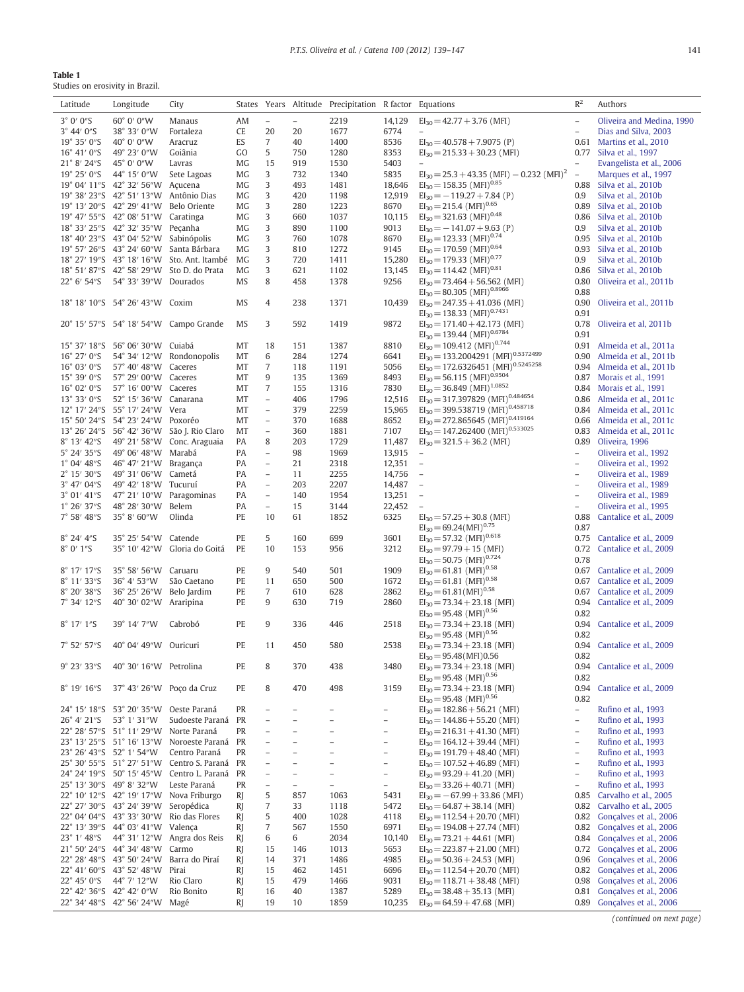<span id="page-2-0"></span>

| <b>Table 1</b>                  |
|---------------------------------|
| Studies on erosivity in Brazil. |

| Latitude                              | Longitude                                     | City                                                                                    |                 |                          |                          | States Years Altitude Precipitation R factor Equations |                          |                                                                                          | $R^2$                    | Authors                                             |
|---------------------------------------|-----------------------------------------------|-----------------------------------------------------------------------------------------|-----------------|--------------------------|--------------------------|--------------------------------------------------------|--------------------------|------------------------------------------------------------------------------------------|--------------------------|-----------------------------------------------------|
| 3°0'0''S                              | 60° 0′ 0″W                                    | Manaus                                                                                  | AM              | $\overline{\phantom{a}}$ | $\overline{\phantom{0}}$ | 2219                                                   | 14,129                   | $EI_{30} = 42.77 + 3.76$ (MFI)                                                           | $\overline{\phantom{a}}$ | Oliveira and Medina, 1990                           |
| 3° 44' 0''S                           | 38° 33' 0"W                                   | Fortaleza                                                                               | CE              | 20                       | 20                       | 1677                                                   | 6774                     |                                                                                          | $\overline{\phantom{a}}$ | Dias and Silva, 2003                                |
| 19° 35' 0"S                           | 40° 0′ 0″ W                                   | Aracruz                                                                                 | ES              | 7                        | 40                       | 1400                                                   | 8536                     | $EI_{30} = 40.578 + 7.9075$ (P)                                                          | 0.61                     | Martins et al., 2010                                |
| 16° 41' 0"S                           | 49° 23' 0"W                                   | Goiânia                                                                                 | GO.             | 5                        | 750                      | 1280                                                   | 8353                     | $EI_{30} = 215.33 + 30.23$ (MFI)                                                         | 0.77                     | Silva et al., 1997                                  |
| $21^{\circ}$ 8' $24^{\prime\prime}$ S | 45° 0' 0"W                                    | Lavras                                                                                  | MG              | 15                       | 919                      | 1530                                                   | 5403                     |                                                                                          |                          | Evangelista et al., 2006                            |
| $19^{\circ}$ 25' 0"S                  | 44° 15' 0"W                                   | Sete Lagoas                                                                             | MG              | 3                        | 732                      | 1340                                                   | 5835                     | $EI_{30} = 25.3 + 43.35$ (MFI) - 0.232 (MFI) <sup>2</sup>                                | $\equiv$                 | Marques et al., 1997                                |
|                                       | 19° 04' 11"S 42° 32' 56"W Açucena             |                                                                                         | MG              | 3                        | 493                      | 1481                                                   | 18,646                   | $EI_{30} = 158.35$ (MFI) <sup>0.85</sup>                                                 | 0.88                     | Silva et al., 2010b                                 |
|                                       | 19° 38′ 23″ S 42° 51′ 13″ W Antônio Dias      |                                                                                         | MG              | 3                        | 420                      | 1198                                                   | 12,919                   | $EI_{30} = -119.27 + 7.84$ (P)                                                           | 0.9                      | Silva et al., 2010b                                 |
|                                       | 19° 13′ 20″S 42° 29′ 41″W                     | Belo Oriente                                                                            | MG              | 3                        | 280                      | 1223                                                   | 8670                     | $EI_{30} = 215.4$ (MFI) <sup>0.65</sup>                                                  | 0.89                     | Silva et al., 2010b                                 |
|                                       | 19° 47' 55"S 42° 08' 51"W                     | Caratinga                                                                               | MG              | 3                        | 660                      | 1037                                                   | 10,115                   | $EI_{30} = 321.63$ (MFI) <sup>0.48</sup>                                                 | 0.86                     | Silva et al., 2010b                                 |
|                                       | 18° 33' 25"S 42° 32' 35"W Peçanha             |                                                                                         | MG              | 3                        | 890                      | 1100                                                   | 9013                     | $EI_{30} = -141.07 + 9.63$ (P)                                                           | 0.9                      | Silva et al., 2010b                                 |
|                                       | 18° 40′ 23″S 43° 04′ 52″W                     | Sabinópolis                                                                             | MG              | 3                        | 760                      | 1078                                                   | 8670                     | $EI_{30} = 123.33$ (MFI) <sup>0.74</sup>                                                 | 0.95                     | Silva et al., 2010b                                 |
|                                       | 19° 57′ 26″S 43° 24′ 60″W Santa Bárbara       |                                                                                         | MG              | 3                        | 810                      | 1272                                                   | 9145                     | $EI_{30} = 170.59$ (MFI) <sup>0.64</sup>                                                 | 0.93                     | Silva et al., 2010b                                 |
|                                       |                                               | 18° 27' 19"S 43° 18' 16"W Sto. Ant. Itambé<br>18° 51' 87"S 42° 58' 29"W Sto D. do Prata | MG              | 3                        | 720                      | 1411                                                   | 15,280                   | $EI_{30} = 179.33$ (MFI) <sup>0.77</sup><br>$EI_{30} = 114.42$ (MFI) <sup>0.81</sup>     | 0.9                      | Silva et al., 2010b                                 |
| $22^{\circ}$ 6' 54"S                  | 54° 33' 39"W Dourados                         |                                                                                         | MG<br><b>MS</b> | 3<br>8                   | 621<br>458               | 1102<br>1378                                           | 13,145                   |                                                                                          | 0.86<br>0.80             | Silva et al., 2010b                                 |
|                                       |                                               |                                                                                         |                 |                          |                          |                                                        | 9256                     | $EI_{30} = 73.464 + 56.562$ (MFI)<br>$EI_{30} = 80.305$ (MFI) <sup>0.8966</sup>          | 0.88                     | Oliveira et al., 2011b                              |
|                                       | 18° 18' 10"S 54° 26' 43"W Coxim               |                                                                                         | MS              | $\overline{4}$           | 238                      | 1371                                                   | 10,439                   | $EI_{30} = 247.35 + 41.036$ (MFI)                                                        | 0.90                     | Oliveira et al., 2011b                              |
|                                       |                                               | 20° 15' 57"S 54° 18' 54"W Campo Grande                                                  | MS              | 3                        | 592                      | 1419                                                   | 9872                     | $EI_{30} = 138.33$ (MFI) <sup>0.7431</sup><br>$EI_{30} = 171.40 + 42.173$ (MFI)          | 0.91<br>0.78             | Oliveira et al, 2011b                               |
|                                       |                                               |                                                                                         |                 |                          |                          |                                                        |                          | $EI_{30} = 139.44$ (MFI) <sup>0.6784</sup>                                               | 0.91                     |                                                     |
|                                       | 15° 37' 18"S 56° 06' 30"W Cuiabá              |                                                                                         | MT              | 18                       | 151                      | 1387                                                   | 8810                     | $EI_{30} = 109.412$ (MFI) <sup>0.744</sup>                                               | 0.91                     | Almeida et al., 2011a                               |
| 16° 27' 0"S                           |                                               | 54° 34′ 12″W Rondonopolis                                                               | MT              | 6                        | 284                      | 1274                                                   | 6641                     | $EI_{30} = 133.2004291$ (MFI) <sup>0.5372499</sup>                                       | 0.90                     | Almeida et al., 2011b                               |
| $16^{\circ}$ 03' 0"S                  | 57° 40' 48"W Caceres                          |                                                                                         | MT              | 7                        | 118                      | 1191                                                   | 5056                     | $EI_{30} = 172.6326451$ (MFI) <sup>0.5245258</sup>                                       | 0.94                     | Almeida et al., 2011b                               |
| 15° 39' 0"S                           | 57° 29' 00"W Caceres                          |                                                                                         | MT              | 9                        | 135                      | 1369                                                   | 8493                     | $EI_{30} = 56.115$ (MFI) <sup>0.9504</sup><br>$EI_{30} = 36.849$ (MFI) <sup>1.0852</sup> | 0.87                     | Morais et al., 1991                                 |
| 16° 02' 0"S<br>$13^{\circ} 33' 0''S$  | 57° 16' 00"W Caceres<br>52° 15' 36"W Canarana |                                                                                         | MT              | $\overline{7}$           | 155                      | 1316                                                   | 7830                     | $EI_{30} = 317.397829 (MFI)^{0.484654}$                                                  | 0.84                     | Morais et al., 1991                                 |
|                                       | 12° 17' 24"S 55° 17' 24"W Vera                |                                                                                         | MT<br>MT        | $\bar{ }$<br>$\equiv$    | 406<br>379               | 1796<br>2259                                           | 12,516<br>15,965         | $EI_{30} = 399.538719 (MFI)^{0.458718}$                                                  | 0.86                     | Almeida et al., 2011c<br>0.84 Almeida et al., 2011c |
|                                       | 15° 50' 24"S 54° 23' 24"W Poxoréo             |                                                                                         | MT              | $\overline{\phantom{a}}$ | 370                      | 1688                                                   | 8652                     | $EI_{30} = 272.865645$ (MFI) <sup>0.419164</sup>                                         | 0.66                     | Almeida et al., 2011c                               |
|                                       |                                               | 13° 26′ 24″ S 56° 42′ 36″ W São J. Rio Claro                                            | MT              | $\equiv$                 | 360                      | 1881                                                   | 7107                     | $EI_{30} = 147.262400 (MFI)^{0.533025}$                                                  | 0.83                     | Almeida et al., 2011c                               |
| $8^{\circ}$ 13' 42"S                  |                                               | 49° 21' 58"W Conc. Araguaia                                                             | PA              | 8                        | 203                      | 1729                                                   | 11,487                   | $EI_{30} = 321.5 + 36.2$ (MFI)                                                           | 0.89                     | Oliveira, 1996                                      |
| 5° 24′ 35″S                           | 49° 06' 48"W Marabá                           |                                                                                         | PA              | $\overline{\phantom{a}}$ | 98                       | 1969                                                   | 13,915                   | $\qquad \qquad -$                                                                        | $\overline{\phantom{a}}$ | Oliveira et al., 1992                               |
| $1^{\circ}$ 04' 48"S                  | 46° 47′ 21″W                                  | Bragança                                                                                | PA              | $\overline{\phantom{0}}$ | 21                       | 2318                                                   | 12,351                   | $\overline{\phantom{a}}$                                                                 | $\overline{\phantom{a}}$ | Oliveira et al., 1992                               |
| $2^{\circ}$ 15' 30"S                  | 49° 31' 06"W Cametá                           |                                                                                         | PA              | $\overline{\phantom{a}}$ | 11                       | 2255                                                   | 14,756                   | $\equiv$                                                                                 | $\overline{\phantom{a}}$ | Oliveira et al., 1989                               |
| $3^{\circ}$ 47' 04"S                  | 49° 42' 18"W Tucuruí                          |                                                                                         | PA              | $\equiv$                 | 203                      | 2207                                                   | 14,487                   | $\equiv$                                                                                 | $\overline{a}$           | Oliveira et al., 1989                               |
| 3° 01' 41"S                           | 47° 21' 10"W Paragominas                      |                                                                                         | PA              | $\overline{\phantom{a}}$ | 140                      | 1954                                                   | 13,251                   | $\overline{\phantom{0}}$                                                                 | $\overline{\phantom{a}}$ | Oliveira et al., 1989                               |
| $1^{\circ} 26' 37''S$                 | 48° 28′ 30″W                                  | Belem                                                                                   | PA              | $\overline{\phantom{a}}$ | 15                       | 3144                                                   | 22,452                   | $\overline{a}$                                                                           | $\overline{\phantom{a}}$ | Oliveira et al., 1995                               |
| 7° 58' 48"S                           | 35° 8′ 60″W                                   | Olinda                                                                                  | PE              | 10                       | 61                       | 1852                                                   | 6325                     | $EI_{30} = 57.25 + 30.8$ (MFI)<br>$EI_{30} = 69.24(MFI)^{0.75}$                          | 0.88                     | Cantalice et al., 2009                              |
| 8° 24' 4''S                           | 35° 25' 54"W Catende                          |                                                                                         | PE              | 5                        |                          | 699                                                    |                          | $EI_{30} = 57.32$ (MFI) <sup>0.618</sup>                                                 | 0.87<br>0.75             |                                                     |
| $8^\circ$ 0' 1"S                      |                                               | 35° 10' 42"W Gloria do Goitá                                                            | PE              | 10                       | 160                      | 956                                                    | 3601<br>3212             | $EI_{30} = 97.79 + 15$ (MFI)                                                             |                          | Cantalice et al., 2009<br>Cantalice et al., 2009    |
|                                       |                                               |                                                                                         |                 |                          | 153                      |                                                        |                          | $EI_{30} = 50.75$ (MFI) <sup>0.724</sup>                                                 | 0.72<br>0.78             |                                                     |
| 8° 17' 17"S                           | 35° 58' 56"W Caruaru                          |                                                                                         | PE              | $9\,$                    | 540                      | 501                                                    | 1909                     | $EI_{30} = 61.81$ (MFI) <sup>0.58</sup>                                                  | 0.67                     | Cantalice et al., 2009                              |
| 8° 11' 33"S                           | 36° 4′ 53″W                                   | São Caetano                                                                             | PE              | 11                       | 650                      | 500                                                    | 1672                     | $EI_{30} = 61.81$ (MFI) <sup>0.58</sup>                                                  | 0.67                     | Cantalice et al., 2009                              |
| 8° 20' 38"S                           | 36° 25' 26"W Belo Jardim                      |                                                                                         | PE              | 7                        | 610                      | 628                                                    | 2862                     | $EI_{30} = 61.81(MFI)^{0.58}$                                                            | 0.67                     | Cantalice et al., 2009                              |
| 7° 34' 12"S                           | 40° 30' 02"W Araripina                        |                                                                                         | PE              | 9                        | 630                      | 719                                                    | 2860                     | $EI_{30} = 73.34 + 23.18$ (MFI)                                                          | 0.94                     | Cantalice et al., 2009                              |
|                                       |                                               |                                                                                         |                 |                          |                          |                                                        |                          | $EI_{30} = 95.48$ (MFI) <sup>0.56</sup>                                                  | 0.82                     |                                                     |
| $8^{\circ}$ 17' 1"S                   | 39° 14' 7"W                                   | Cabrobó                                                                                 | PE              | 9                        | 336                      | 446                                                    | 2518                     | $EI_{30} = 73.34 + 23.18$ (MFI)                                                          | 0.94                     | Cantalice et al., 2009                              |
|                                       |                                               |                                                                                         |                 |                          |                          |                                                        |                          | $EI_{30} = 95.48$ (MFI) <sup>0.56</sup>                                                  | 0.82                     |                                                     |
| $7^{\circ}$ 52' 57"S                  | 40° 04' 49"W Ouricuri                         |                                                                                         | PE              | 11                       | 450                      | 580                                                    | 2538                     | $EI_{30} = 73.34 + 23.18$ (MFI)                                                          |                          | 0.94 Cantalice et al., 2009                         |
|                                       |                                               |                                                                                         |                 |                          |                          |                                                        |                          | $EI_{30} = 95.48(MFI)0.56$                                                               | 0.82                     |                                                     |
| $9^{\circ}$ 23' 33"S                  | 40° 30' 16"W Petrolina                        |                                                                                         | PE              | 8                        | 370                      | 438                                                    | 3480                     | $EI_{30} = 73.34 + 23.18$ (MFI)                                                          | 0.94                     | Cantalice et al., 2009                              |
|                                       |                                               |                                                                                         |                 |                          |                          |                                                        |                          | $EI_{30} = 95.48$ (MFI) <sup>0.56</sup>                                                  | 0.82                     |                                                     |
| 8° 19' 16"S                           | 37° 43′ 26″W Poço da Cruz                     |                                                                                         | PE              | 8                        | 470                      | 498                                                    | 3159                     | $EI_{30} = 73.34 + 23.18$ (MFI)<br>$EI_{30} = 95.48$ (MFI) <sup>0.56</sup>               | 0.94<br>0.82             | Cantalice et al., 2009                              |
|                                       | 24° 15′ 18″S 53° 20′ 35″W                     | Oeste Paraná                                                                            | PR              | $\overline{\phantom{a}}$ |                          |                                                        | $\overline{\phantom{0}}$ | $EI_{30} = 182.86 + 56.21$ (MFI)                                                         | $\overline{\phantom{0}}$ | Rufino et al., 1993                                 |
| $26^{\circ}$ 4' $21^{\prime\prime}$ S | 53° 1' 31″W                                   | Sudoeste Paraná                                                                         | PR              | $\overline{\phantom{a}}$ |                          |                                                        | $\overline{\phantom{0}}$ | $EI_{30} = 144.86 + 55.20$ (MFI)                                                         | $\overline{\phantom{a}}$ | Rufino et al., 1993                                 |
|                                       | 22° 28′ 57″S 51° 11′ 29″W                     | Norte Paraná                                                                            | PR              | $\overline{\phantom{a}}$ | $\overline{a}$           | $\overline{\phantom{0}}$                               | $\qquad \qquad -$        | $EI_{30} = 216.31 + 41.30$ (MFI)                                                         | $\overline{\phantom{a}}$ | Rufino et al., 1993                                 |
|                                       | 23° 13' 25"S 51° 16' 13"W                     | Noroeste Paraná PR                                                                      |                 | $\overline{\phantom{0}}$ |                          | L.                                                     | $\overline{\phantom{0}}$ | $EI_{30} = 164.12 + 39.44$ (MFI)                                                         | $\overline{\phantom{a}}$ | Rufino et al., 1993                                 |
|                                       | 23° 26' 43"S 52° 1' 54"W                      | Centro Paraná                                                                           | PR              | $\overline{\phantom{a}}$ | $\overline{a}$           | $\overline{\phantom{0}}$                               | $\overline{\phantom{0}}$ | $EI_{30} = 191.79 + 48.40$ (MFI)                                                         | $\overline{\phantom{a}}$ | Rufino et al., 1993                                 |
|                                       | 25° 30′ 55″S 51° 27′ 51″W                     | Centro S. Paraná                                                                        | PR              | $\overline{\phantom{a}}$ | L.                       | $\equiv$                                               | $\overline{a}$           | $EI_{30} = 107.52 + 46.89$ (MFI)                                                         | $\overline{\phantom{a}}$ | Rufino et al., 1993                                 |
|                                       | 24° 24′ 19″S 50° 15′ 45″W                     | Centro L. Paraná                                                                        | PR              | $\overline{\phantom{a}}$ | $\overline{\phantom{0}}$ | $\overline{\phantom{0}}$                               | $\overline{\phantom{0}}$ | $EI_{30} = 93.29 + 41.20$ (MFI)                                                          | $\overline{\phantom{a}}$ | Rufino et al., 1993                                 |
|                                       | 25° 13' 30"S 49° 8' 32"W                      | Leste Paraná                                                                            | PR              | $\bar{ }$                | $\overline{a}$           | $\overline{\phantom{0}}$                               | $\overline{\phantom{0}}$ | $EI_{30} = 33.26 + 40.71$ (MFI)                                                          | $\overline{\phantom{a}}$ | Rufino et al., 1993                                 |
|                                       | 22° 10' 12"S 42° 19' 17"W                     | Nova Friburgo                                                                           | RJ              | 5                        | 857                      | 1063                                                   | 5431                     | $EI_{30} = -67.99 + 33.86$ (MFI)                                                         | 0.85                     | Carvalho et al., 2005                               |
|                                       | 22° 27' 30"S 43° 24' 39"W                     | Seropédica                                                                              | RJ              | $\overline{7}$           | 33                       | 1118                                                   | 5472                     | $EI_{30} = 64.87 + 38.14$ (MFI)                                                          | 0.82                     | Carvalho et al., 2005                               |
|                                       | 22° 04' 04"S 43° 33' 30"W                     | Rio das Flores                                                                          | RJ              | 5                        | 400                      | 1028                                                   | 4118                     | $EI_{30} = 112.54 + 20.70$ (MFI)                                                         | 0.82                     | Gonçalves et al., 2006                              |
|                                       | 22° 13′ 39″S 44° 03′ 41″W                     | Valença                                                                                 | RJ              | $\sqrt{ }$               | 567                      | 1550                                                   | 6971                     | $EI_{30} = 194.08 + 27.74$ (MFI)                                                         | 0.82                     | Gonçalves et al., 2006                              |
| 23° 1′ 48″S                           | 44° 31′ 12″W                                  | Angra dos Reis                                                                          | RJ              | 6                        | 6                        | 2034                                                   | 10,140                   | $EI_{30} = 73.21 + 44.61$ (MFI)                                                          | 0.84                     | Gonçalves et al., 2006                              |
|                                       | 21° 50' 24"S 44° 34' 48"W                     | Carmo                                                                                   | RJ              | 15                       | 146                      | 1013                                                   | 5653                     | $EI_{30} = 223.87 + 21.00$ (MFI)                                                         | 0.72                     | Gonçalves et al., 2006                              |
|                                       | 22° 28′ 48″S 43° 50′ 24″W                     | Barra do Piraí                                                                          | RJ              | 14                       | 371                      | 1486                                                   | 4985                     | $EI_{30} = 50.36 + 24.53$ (MFI)                                                          | 0.96                     | Gonçalves et al., 2006                              |
|                                       | 22° 41′ 60″S 43° 52′ 48″W                     | Pirai                                                                                   | RJ              | 15                       | 462                      | 1451                                                   | 6696                     | $EI_{30} = 112.54 + 20.70$ (MFI)                                                         | 0.82                     | Gonçalves et al., 2006                              |
| $22^{\circ}$ 45' 0"S                  | 44° 7' 12"W                                   | Rio Claro                                                                               | R               | 15                       | 479                      | 1466                                                   | 9031                     | $EI_{30} = 118.71 + 38.48$ (MFI)                                                         | 0.98                     | Gonçalves et al., 2006                              |
|                                       | 22° 42' 36"S 42° 42' 0"W                      | Rio Bonito                                                                              | R               | 16                       | 40                       | 1387                                                   | 5289                     | $EI_{30} = 38.48 + 35.13$ (MFI)                                                          | 0.81                     | Gonçalves et al., 2006                              |
|                                       | 22° 34' 48"S 42° 56' 24"W Magé                |                                                                                         | RJ              | 19                       | 10                       | 1859                                                   | 10,235                   | $EI_{30} = 64.59 + 47.68$ (MFI)                                                          | 0.89                     | Gonçalves et al., 2006                              |

(continued on next page)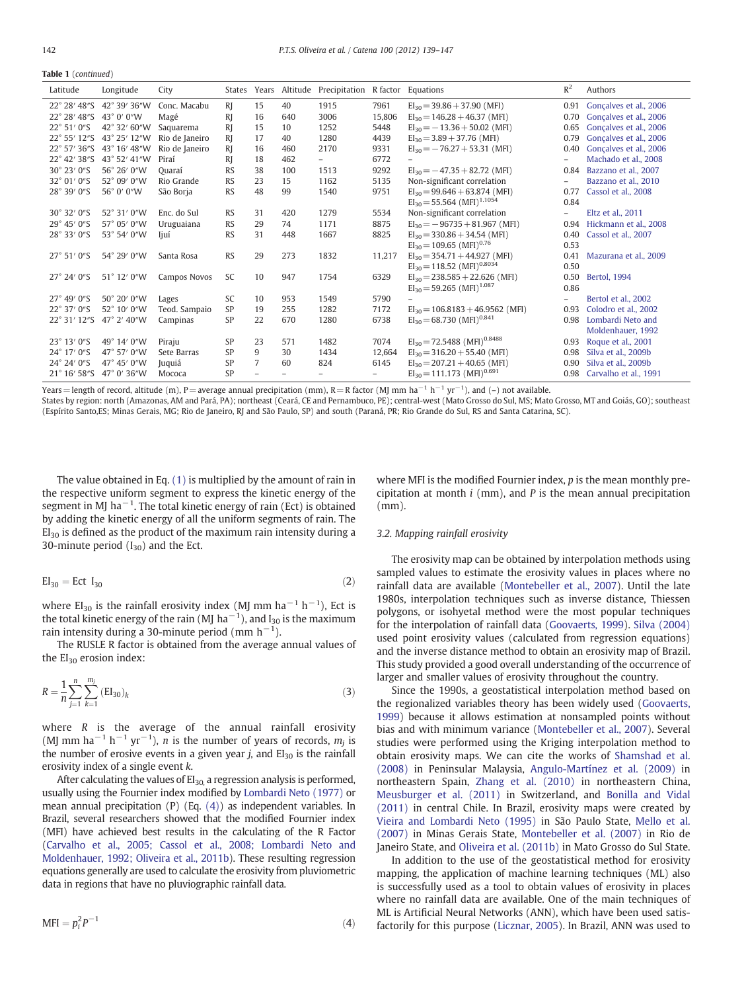| 42° 39′ 36″W<br>Conc. Macabu<br>$R$ <sub>I</sub><br>15<br>40<br>7961<br>Goncalves et al., 2006<br>22° 28′ 48″S<br>1915<br>$EI_{30} = 39.86 + 37.90$ (MFI)<br>0.91<br>22° 28' 48"S<br>43° 0' 0"W<br>R<br>16<br>3006<br>15,806<br>$EI_{30} = 146.28 + 46.37$ (MFI)<br>0.70<br>Gonçalves et al., 2006<br>Magé<br>640<br>R <sub>I</sub><br>22° 51' 0"S<br>42° 32' 60"W<br>$EI_{30} = -13.36 + 50.02$ (MFI)<br>Gonçalves et al., 2006<br>1252<br>5448<br>15<br>10<br>0.65<br>Saquarema<br><b>RI</b><br>43° 25' 12"W<br>$EI_{30} = 3.89 + 37.76$ (MFI)<br>22° 55' 12"S<br>Rio de Janeiro<br>17<br>40<br>1280<br>4439<br>0.79<br>Gonçalves et al., 2006<br>43° 16' 48"W<br>$22^{\circ}$ 57' 36"S<br>R<br>9331<br>Goncalves et al., 2006<br>Rio de Janeiro<br>16<br>460<br>2170<br>$EI_{30} = -76.27 + 53.31$ (MFI)<br>0.40<br>43° 52' 41"W<br>22° 42' 38"S<br>Piraí<br><sub>R</sub><br>462<br>6772<br>Machado et al., 2008<br>18<br>$\overline{\phantom{a}}$<br>$\overline{\phantom{0}}$<br><b>RS</b><br>30° 23' 0"S<br>56° 26' 0"W<br>38<br>9292<br>100<br>1513<br>$EI_{30} = -47.35 + 82.72$ (MFI)<br>0.84<br>Bazzano et al., 2007<br>Quaraí<br><b>RS</b><br>Non-significant correlation<br>32° 01' 0"S<br>$52^{\circ}$ 09' 0"W<br>Rio Grande<br>23<br>1162<br>5135<br>Bazzano et al., 2010<br>15<br>$\qquad \qquad -$<br>28° 39' 0"S<br><b>RS</b><br>48<br>99<br>$EI_{30} = 99.646 + 63.874$ (MFI)<br>56° 0' 0"W<br>São Borja<br>1540<br>9751<br>0.77<br>Cassol et al., 2008<br>$EI_{30} = 55.564$ (MFI) <sup>1.1054</sup><br>0.84<br><b>RS</b><br>Non-significant correlation<br>30° 32' 0"S<br>52° 31' 0"W<br>31<br>1279<br>5534<br>Enc. do Sul<br>420<br>Eltz et al., 2011<br>$\qquad \qquad -$<br>29° 45' 0"S<br>57° 05' 0"W<br>$EI_{30} = -96735 + 81.967$ (MFI)<br><b>RS</b><br>29<br>74<br>8875<br>Hickmann et al., 2008<br>Uruguaiana<br>1171<br>0.94<br>$EI_{30} = 330.86 + 34.54$ (MFI)<br>28° 33' 0"S<br>53° 54' 0"W<br><b>RS</b><br>31<br>448<br>1667<br>8825<br>Cassol et al., 2007<br>liuí<br>0.40<br>$EI_{30} = 109.65$ (MFI) <sup>0.76</sup><br>0.53<br><b>RS</b><br>29<br>273<br>$EI_{30} = 354.71 + 44.927$ (MFI)<br>27° 51' 0"S<br>54° 29' 0"W<br>1832<br>Santa Rosa<br>11,217<br>0.41<br>Mazurana et al., 2009<br>$EI_{30} = 118.52$ (MFI) <sup>0.8034</sup><br>0.50<br>SC<br>$EI_{30} = 238.585 + 22.626$ (MFI)<br>27° 24′ 0"S<br>51° 12' 0"W<br>Campos Novos<br>10<br>947<br>1754<br>6329<br>0.50<br><b>Bertol. 1994</b><br>$EI_{30} = 59.265$ (MFI) <sup>1.087</sup><br>0.86<br>$27^{\circ}$ 49' 0"S<br>$50^{\circ}$ 20' $0''W$<br>SC<br>5790<br>10<br>953<br>1549<br>Bertol et al., 2002<br>Lages<br>$\overline{\phantom{0}}$<br>SP<br>22° 37' 0"S<br>52° 10' 0"W<br>1282<br>7172<br>$EI_{30} = 106.8183 + 46.9562$ (MFI)<br>Colodro et al., 2002<br>Teod. Sampaio<br>19<br>255<br>0.93<br>$EI_{30} = 68.730$ (MFI) <sup>0.841</sup><br>SP<br>22° 31' 12"S<br>47° 2' 40"W<br>22<br>670<br>6738<br>Lombardi Neto and<br>1280<br>0.98<br>Campinas<br>Moldenhauer, 1992<br>$EI_{30} = 72.5488$ (MFI) <sup>0.8488</sup><br>SP<br>7074<br>23° 13' 0"S<br>49° 14' 0"W<br>23<br>1482<br>571<br>Roque et al., 2001<br>Piraju<br>0.93<br>SP<br>9<br>24° 17' 0"S<br>47° 57' 0"W<br>30<br>1434<br>12.664<br>$EI_{30} = 316.20 + 55.40$ (MFI)<br>Sete Barras<br>0.98<br>Silva et al., 2009b<br>$\overline{7}$<br>SP<br>$EI_{30} = 207.21 + 40.65$ (MFI)<br>24° 24′ 0"S<br>47° 45' 0"W<br>824<br>60<br>6145<br>Silva et al., 2009b<br>Juquiá<br>0.90<br>$EI_{30} = 111.173$ (MFI) <sup>0.691</sup><br>47° 0' 36"W<br>SP<br>$21^{\circ}$ 16' 58"S<br>0.98<br>Carvalho et al., 1991<br>Mococa<br>$\overline{\phantom{0}}$ | Latitude | Longitude | City | States |  | Years Altitude Precipitation R factor Equations |  | $R^2$ | Authors |
|--------------------------------------------------------------------------------------------------------------------------------------------------------------------------------------------------------------------------------------------------------------------------------------------------------------------------------------------------------------------------------------------------------------------------------------------------------------------------------------------------------------------------------------------------------------------------------------------------------------------------------------------------------------------------------------------------------------------------------------------------------------------------------------------------------------------------------------------------------------------------------------------------------------------------------------------------------------------------------------------------------------------------------------------------------------------------------------------------------------------------------------------------------------------------------------------------------------------------------------------------------------------------------------------------------------------------------------------------------------------------------------------------------------------------------------------------------------------------------------------------------------------------------------------------------------------------------------------------------------------------------------------------------------------------------------------------------------------------------------------------------------------------------------------------------------------------------------------------------------------------------------------------------------------------------------------------------------------------------------------------------------------------------------------------------------------------------------------------------------------------------------------------------------------------------------------------------------------------------------------------------------------------------------------------------------------------------------------------------------------------------------------------------------------------------------------------------------------------------------------------------------------------------------------------------------------------------------------------------------------------------------------------------------------------------------------------------------------------------------------------------------------------------------------------------------------------------------------------------------------------------------------------------------------------------------------------------------------------------------------------------------------------------------------------------------------------------------------------------------------------------------------------------------------------------------------------------------------------------------------------------------------------------------------------------------------------------------------------------------------------------------------------------------------------------------------------------------------------------------------------------------------------------------------------------------------------------------------------------------------------------|----------|-----------|------|--------|--|-------------------------------------------------|--|-------|---------|
|                                                                                                                                                                                                                                                                                                                                                                                                                                                                                                                                                                                                                                                                                                                                                                                                                                                                                                                                                                                                                                                                                                                                                                                                                                                                                                                                                                                                                                                                                                                                                                                                                                                                                                                                                                                                                                                                                                                                                                                                                                                                                                                                                                                                                                                                                                                                                                                                                                                                                                                                                                                                                                                                                                                                                                                                                                                                                                                                                                                                                                                                                                                                                                                                                                                                                                                                                                                                                                                                                                                                                                                                                                |          |           |      |        |  |                                                 |  |       |         |
|                                                                                                                                                                                                                                                                                                                                                                                                                                                                                                                                                                                                                                                                                                                                                                                                                                                                                                                                                                                                                                                                                                                                                                                                                                                                                                                                                                                                                                                                                                                                                                                                                                                                                                                                                                                                                                                                                                                                                                                                                                                                                                                                                                                                                                                                                                                                                                                                                                                                                                                                                                                                                                                                                                                                                                                                                                                                                                                                                                                                                                                                                                                                                                                                                                                                                                                                                                                                                                                                                                                                                                                                                                |          |           |      |        |  |                                                 |  |       |         |
|                                                                                                                                                                                                                                                                                                                                                                                                                                                                                                                                                                                                                                                                                                                                                                                                                                                                                                                                                                                                                                                                                                                                                                                                                                                                                                                                                                                                                                                                                                                                                                                                                                                                                                                                                                                                                                                                                                                                                                                                                                                                                                                                                                                                                                                                                                                                                                                                                                                                                                                                                                                                                                                                                                                                                                                                                                                                                                                                                                                                                                                                                                                                                                                                                                                                                                                                                                                                                                                                                                                                                                                                                                |          |           |      |        |  |                                                 |  |       |         |
|                                                                                                                                                                                                                                                                                                                                                                                                                                                                                                                                                                                                                                                                                                                                                                                                                                                                                                                                                                                                                                                                                                                                                                                                                                                                                                                                                                                                                                                                                                                                                                                                                                                                                                                                                                                                                                                                                                                                                                                                                                                                                                                                                                                                                                                                                                                                                                                                                                                                                                                                                                                                                                                                                                                                                                                                                                                                                                                                                                                                                                                                                                                                                                                                                                                                                                                                                                                                                                                                                                                                                                                                                                |          |           |      |        |  |                                                 |  |       |         |
|                                                                                                                                                                                                                                                                                                                                                                                                                                                                                                                                                                                                                                                                                                                                                                                                                                                                                                                                                                                                                                                                                                                                                                                                                                                                                                                                                                                                                                                                                                                                                                                                                                                                                                                                                                                                                                                                                                                                                                                                                                                                                                                                                                                                                                                                                                                                                                                                                                                                                                                                                                                                                                                                                                                                                                                                                                                                                                                                                                                                                                                                                                                                                                                                                                                                                                                                                                                                                                                                                                                                                                                                                                |          |           |      |        |  |                                                 |  |       |         |
|                                                                                                                                                                                                                                                                                                                                                                                                                                                                                                                                                                                                                                                                                                                                                                                                                                                                                                                                                                                                                                                                                                                                                                                                                                                                                                                                                                                                                                                                                                                                                                                                                                                                                                                                                                                                                                                                                                                                                                                                                                                                                                                                                                                                                                                                                                                                                                                                                                                                                                                                                                                                                                                                                                                                                                                                                                                                                                                                                                                                                                                                                                                                                                                                                                                                                                                                                                                                                                                                                                                                                                                                                                |          |           |      |        |  |                                                 |  |       |         |
|                                                                                                                                                                                                                                                                                                                                                                                                                                                                                                                                                                                                                                                                                                                                                                                                                                                                                                                                                                                                                                                                                                                                                                                                                                                                                                                                                                                                                                                                                                                                                                                                                                                                                                                                                                                                                                                                                                                                                                                                                                                                                                                                                                                                                                                                                                                                                                                                                                                                                                                                                                                                                                                                                                                                                                                                                                                                                                                                                                                                                                                                                                                                                                                                                                                                                                                                                                                                                                                                                                                                                                                                                                |          |           |      |        |  |                                                 |  |       |         |
|                                                                                                                                                                                                                                                                                                                                                                                                                                                                                                                                                                                                                                                                                                                                                                                                                                                                                                                                                                                                                                                                                                                                                                                                                                                                                                                                                                                                                                                                                                                                                                                                                                                                                                                                                                                                                                                                                                                                                                                                                                                                                                                                                                                                                                                                                                                                                                                                                                                                                                                                                                                                                                                                                                                                                                                                                                                                                                                                                                                                                                                                                                                                                                                                                                                                                                                                                                                                                                                                                                                                                                                                                                |          |           |      |        |  |                                                 |  |       |         |
|                                                                                                                                                                                                                                                                                                                                                                                                                                                                                                                                                                                                                                                                                                                                                                                                                                                                                                                                                                                                                                                                                                                                                                                                                                                                                                                                                                                                                                                                                                                                                                                                                                                                                                                                                                                                                                                                                                                                                                                                                                                                                                                                                                                                                                                                                                                                                                                                                                                                                                                                                                                                                                                                                                                                                                                                                                                                                                                                                                                                                                                                                                                                                                                                                                                                                                                                                                                                                                                                                                                                                                                                                                |          |           |      |        |  |                                                 |  |       |         |
|                                                                                                                                                                                                                                                                                                                                                                                                                                                                                                                                                                                                                                                                                                                                                                                                                                                                                                                                                                                                                                                                                                                                                                                                                                                                                                                                                                                                                                                                                                                                                                                                                                                                                                                                                                                                                                                                                                                                                                                                                                                                                                                                                                                                                                                                                                                                                                                                                                                                                                                                                                                                                                                                                                                                                                                                                                                                                                                                                                                                                                                                                                                                                                                                                                                                                                                                                                                                                                                                                                                                                                                                                                |          |           |      |        |  |                                                 |  |       |         |
|                                                                                                                                                                                                                                                                                                                                                                                                                                                                                                                                                                                                                                                                                                                                                                                                                                                                                                                                                                                                                                                                                                                                                                                                                                                                                                                                                                                                                                                                                                                                                                                                                                                                                                                                                                                                                                                                                                                                                                                                                                                                                                                                                                                                                                                                                                                                                                                                                                                                                                                                                                                                                                                                                                                                                                                                                                                                                                                                                                                                                                                                                                                                                                                                                                                                                                                                                                                                                                                                                                                                                                                                                                |          |           |      |        |  |                                                 |  |       |         |
|                                                                                                                                                                                                                                                                                                                                                                                                                                                                                                                                                                                                                                                                                                                                                                                                                                                                                                                                                                                                                                                                                                                                                                                                                                                                                                                                                                                                                                                                                                                                                                                                                                                                                                                                                                                                                                                                                                                                                                                                                                                                                                                                                                                                                                                                                                                                                                                                                                                                                                                                                                                                                                                                                                                                                                                                                                                                                                                                                                                                                                                                                                                                                                                                                                                                                                                                                                                                                                                                                                                                                                                                                                |          |           |      |        |  |                                                 |  |       |         |
|                                                                                                                                                                                                                                                                                                                                                                                                                                                                                                                                                                                                                                                                                                                                                                                                                                                                                                                                                                                                                                                                                                                                                                                                                                                                                                                                                                                                                                                                                                                                                                                                                                                                                                                                                                                                                                                                                                                                                                                                                                                                                                                                                                                                                                                                                                                                                                                                                                                                                                                                                                                                                                                                                                                                                                                                                                                                                                                                                                                                                                                                                                                                                                                                                                                                                                                                                                                                                                                                                                                                                                                                                                |          |           |      |        |  |                                                 |  |       |         |
|                                                                                                                                                                                                                                                                                                                                                                                                                                                                                                                                                                                                                                                                                                                                                                                                                                                                                                                                                                                                                                                                                                                                                                                                                                                                                                                                                                                                                                                                                                                                                                                                                                                                                                                                                                                                                                                                                                                                                                                                                                                                                                                                                                                                                                                                                                                                                                                                                                                                                                                                                                                                                                                                                                                                                                                                                                                                                                                                                                                                                                                                                                                                                                                                                                                                                                                                                                                                                                                                                                                                                                                                                                |          |           |      |        |  |                                                 |  |       |         |
|                                                                                                                                                                                                                                                                                                                                                                                                                                                                                                                                                                                                                                                                                                                                                                                                                                                                                                                                                                                                                                                                                                                                                                                                                                                                                                                                                                                                                                                                                                                                                                                                                                                                                                                                                                                                                                                                                                                                                                                                                                                                                                                                                                                                                                                                                                                                                                                                                                                                                                                                                                                                                                                                                                                                                                                                                                                                                                                                                                                                                                                                                                                                                                                                                                                                                                                                                                                                                                                                                                                                                                                                                                |          |           |      |        |  |                                                 |  |       |         |
|                                                                                                                                                                                                                                                                                                                                                                                                                                                                                                                                                                                                                                                                                                                                                                                                                                                                                                                                                                                                                                                                                                                                                                                                                                                                                                                                                                                                                                                                                                                                                                                                                                                                                                                                                                                                                                                                                                                                                                                                                                                                                                                                                                                                                                                                                                                                                                                                                                                                                                                                                                                                                                                                                                                                                                                                                                                                                                                                                                                                                                                                                                                                                                                                                                                                                                                                                                                                                                                                                                                                                                                                                                |          |           |      |        |  |                                                 |  |       |         |
|                                                                                                                                                                                                                                                                                                                                                                                                                                                                                                                                                                                                                                                                                                                                                                                                                                                                                                                                                                                                                                                                                                                                                                                                                                                                                                                                                                                                                                                                                                                                                                                                                                                                                                                                                                                                                                                                                                                                                                                                                                                                                                                                                                                                                                                                                                                                                                                                                                                                                                                                                                                                                                                                                                                                                                                                                                                                                                                                                                                                                                                                                                                                                                                                                                                                                                                                                                                                                                                                                                                                                                                                                                |          |           |      |        |  |                                                 |  |       |         |
|                                                                                                                                                                                                                                                                                                                                                                                                                                                                                                                                                                                                                                                                                                                                                                                                                                                                                                                                                                                                                                                                                                                                                                                                                                                                                                                                                                                                                                                                                                                                                                                                                                                                                                                                                                                                                                                                                                                                                                                                                                                                                                                                                                                                                                                                                                                                                                                                                                                                                                                                                                                                                                                                                                                                                                                                                                                                                                                                                                                                                                                                                                                                                                                                                                                                                                                                                                                                                                                                                                                                                                                                                                |          |           |      |        |  |                                                 |  |       |         |
|                                                                                                                                                                                                                                                                                                                                                                                                                                                                                                                                                                                                                                                                                                                                                                                                                                                                                                                                                                                                                                                                                                                                                                                                                                                                                                                                                                                                                                                                                                                                                                                                                                                                                                                                                                                                                                                                                                                                                                                                                                                                                                                                                                                                                                                                                                                                                                                                                                                                                                                                                                                                                                                                                                                                                                                                                                                                                                                                                                                                                                                                                                                                                                                                                                                                                                                                                                                                                                                                                                                                                                                                                                |          |           |      |        |  |                                                 |  |       |         |
|                                                                                                                                                                                                                                                                                                                                                                                                                                                                                                                                                                                                                                                                                                                                                                                                                                                                                                                                                                                                                                                                                                                                                                                                                                                                                                                                                                                                                                                                                                                                                                                                                                                                                                                                                                                                                                                                                                                                                                                                                                                                                                                                                                                                                                                                                                                                                                                                                                                                                                                                                                                                                                                                                                                                                                                                                                                                                                                                                                                                                                                                                                                                                                                                                                                                                                                                                                                                                                                                                                                                                                                                                                |          |           |      |        |  |                                                 |  |       |         |
|                                                                                                                                                                                                                                                                                                                                                                                                                                                                                                                                                                                                                                                                                                                                                                                                                                                                                                                                                                                                                                                                                                                                                                                                                                                                                                                                                                                                                                                                                                                                                                                                                                                                                                                                                                                                                                                                                                                                                                                                                                                                                                                                                                                                                                                                                                                                                                                                                                                                                                                                                                                                                                                                                                                                                                                                                                                                                                                                                                                                                                                                                                                                                                                                                                                                                                                                                                                                                                                                                                                                                                                                                                |          |           |      |        |  |                                                 |  |       |         |
|                                                                                                                                                                                                                                                                                                                                                                                                                                                                                                                                                                                                                                                                                                                                                                                                                                                                                                                                                                                                                                                                                                                                                                                                                                                                                                                                                                                                                                                                                                                                                                                                                                                                                                                                                                                                                                                                                                                                                                                                                                                                                                                                                                                                                                                                                                                                                                                                                                                                                                                                                                                                                                                                                                                                                                                                                                                                                                                                                                                                                                                                                                                                                                                                                                                                                                                                                                                                                                                                                                                                                                                                                                |          |           |      |        |  |                                                 |  |       |         |
|                                                                                                                                                                                                                                                                                                                                                                                                                                                                                                                                                                                                                                                                                                                                                                                                                                                                                                                                                                                                                                                                                                                                                                                                                                                                                                                                                                                                                                                                                                                                                                                                                                                                                                                                                                                                                                                                                                                                                                                                                                                                                                                                                                                                                                                                                                                                                                                                                                                                                                                                                                                                                                                                                                                                                                                                                                                                                                                                                                                                                                                                                                                                                                                                                                                                                                                                                                                                                                                                                                                                                                                                                                |          |           |      |        |  |                                                 |  |       |         |
|                                                                                                                                                                                                                                                                                                                                                                                                                                                                                                                                                                                                                                                                                                                                                                                                                                                                                                                                                                                                                                                                                                                                                                                                                                                                                                                                                                                                                                                                                                                                                                                                                                                                                                                                                                                                                                                                                                                                                                                                                                                                                                                                                                                                                                                                                                                                                                                                                                                                                                                                                                                                                                                                                                                                                                                                                                                                                                                                                                                                                                                                                                                                                                                                                                                                                                                                                                                                                                                                                                                                                                                                                                |          |           |      |        |  |                                                 |  |       |         |
|                                                                                                                                                                                                                                                                                                                                                                                                                                                                                                                                                                                                                                                                                                                                                                                                                                                                                                                                                                                                                                                                                                                                                                                                                                                                                                                                                                                                                                                                                                                                                                                                                                                                                                                                                                                                                                                                                                                                                                                                                                                                                                                                                                                                                                                                                                                                                                                                                                                                                                                                                                                                                                                                                                                                                                                                                                                                                                                                                                                                                                                                                                                                                                                                                                                                                                                                                                                                                                                                                                                                                                                                                                |          |           |      |        |  |                                                 |  |       |         |
|                                                                                                                                                                                                                                                                                                                                                                                                                                                                                                                                                                                                                                                                                                                                                                                                                                                                                                                                                                                                                                                                                                                                                                                                                                                                                                                                                                                                                                                                                                                                                                                                                                                                                                                                                                                                                                                                                                                                                                                                                                                                                                                                                                                                                                                                                                                                                                                                                                                                                                                                                                                                                                                                                                                                                                                                                                                                                                                                                                                                                                                                                                                                                                                                                                                                                                                                                                                                                                                                                                                                                                                                                                |          |           |      |        |  |                                                 |  |       |         |

Years=length of record, altitude (m), P=average annual precipitation (mm), R=R factor (MJ mm ha<sup>-1</sup> h<sup>-1</sup> yr<sup>-1</sup>), and (-) not available.

States by region: north (Amazonas, AM and Pará, PA); northeast (Ceará, CE and Pernambuco, PE); central-west (Mato Grosso do Sul, MS; Mato Grosso, MT and Goiás, GO); southeast (Espírito Santo,ES; Minas Gerais, MG; Rio de Janeiro, RJ and São Paulo, SP) and south (Paraná, PR; Rio Grande do Sul, RS and Santa Catarina, SC).

The value obtained in Eq. [\(1\)](#page-1-0) is multiplied by the amount of rain in the respective uniform segment to express the kinetic energy of the segment in MJ ha<sup>-1</sup>. The total kinetic energy of rain (Ect) is obtained by adding the kinetic energy of all the uniform segments of rain. The  $EI<sub>30</sub>$  is defined as the product of the maximum rain intensity during a 30-minute period  $(I_{30})$  and the Ect.

$$
EI_{30} = Ect I_{30}
$$
 (2)

where EI<sub>30</sub> is the rainfall erosivity index (MJ mm ha<sup>-1</sup> h<sup>-1</sup>), Ect is the total kinetic energy of the rain (MJ  $\rm{ha}^{-1}$ ), and I $_{30}$  is the maximum rain intensity during a 30-minute period (mm  $h^{-1}$ ).

The RUSLE R factor is obtained from the average annual values of the  $EI_{30}$  erosion index:

$$
R = \frac{1}{n} \sum_{j=1}^{n} \sum_{k=1}^{m_j} (EI_{30})_k
$$
 (3)

where  $R$  is the average of the annual rainfall erosivity (MJ mm ha<sup>-1</sup> h<sup>-1</sup> yr<sup>-1</sup>), *n* is the number of years of records,  $m_j$  is the number of erosive events in a given year  $j$ , and  $EI_{30}$  is the rainfall erosivity index of a single event k.

After calculating the values of  $EI_{30}$  a regression analysis is performed, usually using the Fournier index modified by [Lombardi Neto \(1977\)](#page-7-0) or mean annual precipitation (P) (Eq. (4)) as independent variables. In Brazil, several researchers showed that the modified Fournier index (MFI) have achieved best results in the calculating of the R Factor [\(Carvalho et al., 2005; Cassol et al., 2008; Lombardi Neto and](#page-7-0) [Moldenhauer, 1992; Oliveira et al., 2011b](#page-7-0)). These resulting regression equations generally are used to calculate the erosivity from pluviometric data in regions that have no pluviographic rainfall data.

$$
MFI = p_i^2 P^{-1}
$$
\n<sup>(4)</sup>

where MFI is the modified Fournier index,  $p$  is the mean monthly precipitation at month  $i$  (mm), and  $P$  is the mean annual precipitation (mm).

#### 3.2. Mapping rainfall erosivity

The erosivity map can be obtained by interpolation methods using sampled values to estimate the erosivity values in places where no rainfall data are available ([Montebeller et al., 2007\)](#page-7-0). Until the late 1980s, interpolation techniques such as inverse distance, Thiessen polygons, or isohyetal method were the most popular techniques for the interpolation of rainfall data [\(Goovaerts, 1999](#page-7-0)). [Silva \(2004\)](#page-8-0) used point erosivity values (calculated from regression equations) and the inverse distance method to obtain an erosivity map of Brazil. This study provided a good overall understanding of the occurrence of larger and smaller values of erosivity throughout the country.

Since the 1990s, a geostatistical interpolation method based on the regionalized variables theory has been widely used [\(Goovaerts,](#page-7-0) [1999\)](#page-7-0) because it allows estimation at nonsampled points without bias and with minimum variance [\(Montebeller et al., 2007](#page-7-0)). Several studies were performed using the Kriging interpolation method to obtain erosivity maps. We can cite the works of [Shamshad et al.](#page-8-0) [\(2008\)](#page-8-0) in Peninsular Malaysia, [Angulo-Martínez et al. \(2009\)](#page-6-0) in northeastern Spain, [Zhang et al. \(2010\)](#page-8-0) in northeastern China, [Meusburger et al. \(2011\)](#page-7-0) in Switzerland, and [Bonilla and Vidal](#page-7-0) [\(2011\)](#page-7-0) in central Chile. In Brazil, erosivity maps were created by [Vieira and Lombardi Neto \(1995\)](#page-8-0) in São Paulo State, [Mello et al.](#page-7-0) [\(2007\)](#page-7-0) in Minas Gerais State, [Montebeller et al. \(2007\)](#page-7-0) in Rio de Janeiro State, and [Oliveira et al. \(2011b\)](#page-7-0) in Mato Grosso do Sul State.

In addition to the use of the geostatistical method for erosivity mapping, the application of machine learning techniques (ML) also is successfully used as a tool to obtain values of erosivity in places where no rainfall data are available. One of the main techniques of ML is Artificial Neural Networks (ANN), which have been used satisfactorily for this purpose ([Licznar, 2005](#page-7-0)). In Brazil, ANN was used to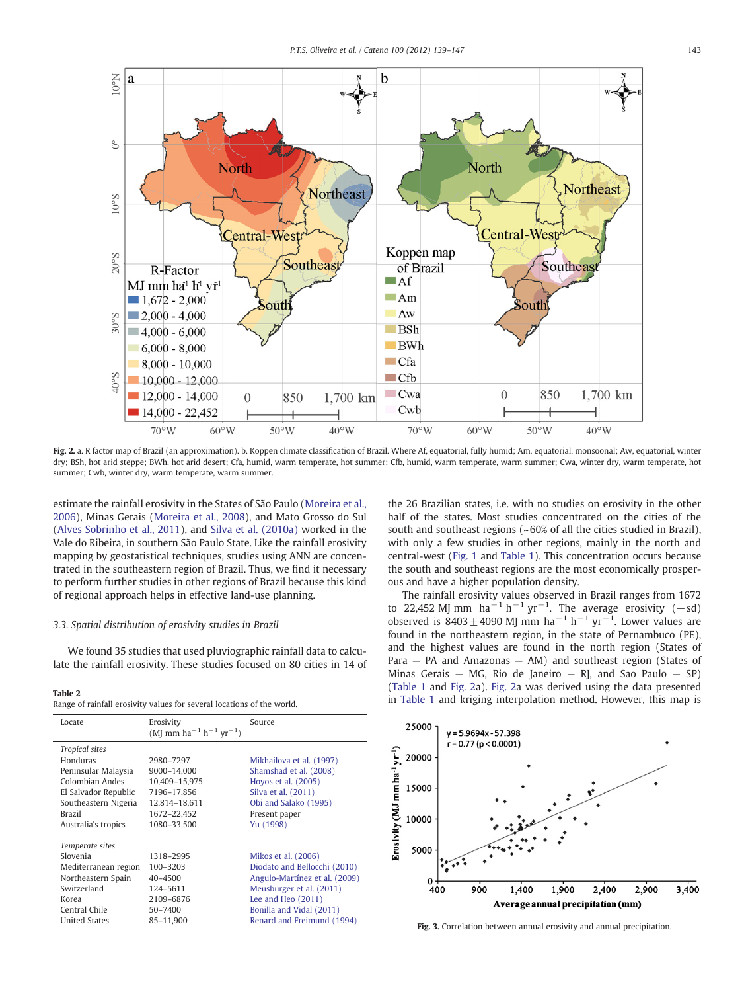<span id="page-4-0"></span>

Fig. 2. a. R factor map of Brazil (an approximation). b. Koppen climate classification of Brazil. Where Af, equatorial, fully humid; Am, equatorial, monsoonal; Aw, equatorial, winter dry; BSh, hot arid steppe; BWh, hot arid desert; Cfa, humid, warm temperate, hot summer; Cfb, humid, warm temperate, warm summer; Cwa, winter dry, warm temperate, hot summer; Cwb, winter dry, warm temperate, warm summer.

estimate the rainfall erosivity in the States of São Paulo [\(Moreira et al.,](#page-7-0) [2006\)](#page-7-0), Minas Gerais [\(Moreira et al., 2008](#page-7-0)), and Mato Grosso do Sul [\(Alves Sobrinho et al., 2011\)](#page-6-0), and [Silva et al. \(2010a\)](#page-8-0) worked in the Vale do Ribeira, in southern São Paulo State. Like the rainfall erosivity mapping by geostatistical techniques, studies using ANN are concentrated in the southeastern region of Brazil. Thus, we find it necessary to perform further studies in other regions of Brazil because this kind of regional approach helps in effective land-use planning.

### 3.3. Spatial distribution of erosivity studies in Brazil

We found 35 studies that used pluviographic rainfall data to calculate the rainfall erosivity. These studies focused on 80 cities in 14 of

Range of rainfall erosivity values for several locations of the world.

| Locate                            | Erosivity<br>(MJ mm ha <sup>-1</sup> h <sup>-1</sup> yr <sup>-1</sup> ) | Source                        |
|-----------------------------------|-------------------------------------------------------------------------|-------------------------------|
| <b>Tropical sites</b><br>Honduras | 2980-7297                                                               | Mikhailova et al. (1997)      |
| Peninsular Malaysia               | 9000-14.000                                                             | Shamshad et al. (2008)        |
| Colombian Andes                   | 10,409-15,975                                                           | Hoyos et al. (2005)           |
| El Salvador Republic              | 7196-17.856                                                             | Silva et al. (2011)           |
| Southeastern Nigeria              | 12,814-18,611                                                           | Obi and Salako (1995)         |
| <b>Brazil</b>                     | 1672-22,452                                                             | Present paper                 |
| Australia's tropics               | 1080-33.500                                                             | Yu (1998)                     |
| Temperate sites                   |                                                                         |                               |
| Slovenia                          | 1318-2995                                                               | Mikos et al. (2006)           |
| Mediterranean region              | 100-3203                                                                | Diodato and Bellocchi (2010)  |
| Northeastern Spain                | $40 - 4500$                                                             | Angulo-Martínez et al. (2009) |
| Switzerland                       | 124-5611                                                                | Meusburger et al. (2011)      |
| Korea                             | 2109-6876                                                               | Lee and Heo $(2011)$          |
| Central Chile                     | $50 - 7400$                                                             | Bonilla and Vidal (2011)      |
| <b>United States</b>              | 85-11.900                                                               | Renard and Freimund (1994)    |

the 26 Brazilian states, i.e. with no studies on erosivity in the other half of the states. Most studies concentrated on the cities of the south and southeast regions (~60% of all the cities studied in Brazil), with only a few studies in other regions, mainly in the north and central-west [\(Fig. 1](#page-1-0) and [Table 1\)](#page-2-0). This concentration occurs because the south and southeast regions are the most economically prosperous and have a higher population density.

The rainfall erosivity values observed in Brazil ranges from 1672 to 22,452 MJ mm  $ha^{-1}h^{-1}yr^{-1}$ . The average erosivity ( $\pm$ sd) observed is  $8403 \pm 4090$  MJ mm ha<sup>-1</sup> h<sup>-1</sup> yr<sup>-1</sup>. Lower values are found in the northeastern region, in the state of Pernambuco (PE), and the highest values are found in the north region (States of Para — PA and Amazonas — AM) and southeast region (States of Minas Gerais – MG, Rio de Janeiro – RJ, and Sao Paulo – SP) [\(Table 1](#page-2-0) and Fig. 2a). Fig. 2a was derived using the data presented Table 2<br>In [Table 1](#page-2-0) and kriging interpolation method. However, this map is<br>In Table 1 and kriging interpolation method. However, this map is



Fig. 3. Correlation between annual erosivity and annual precipitation.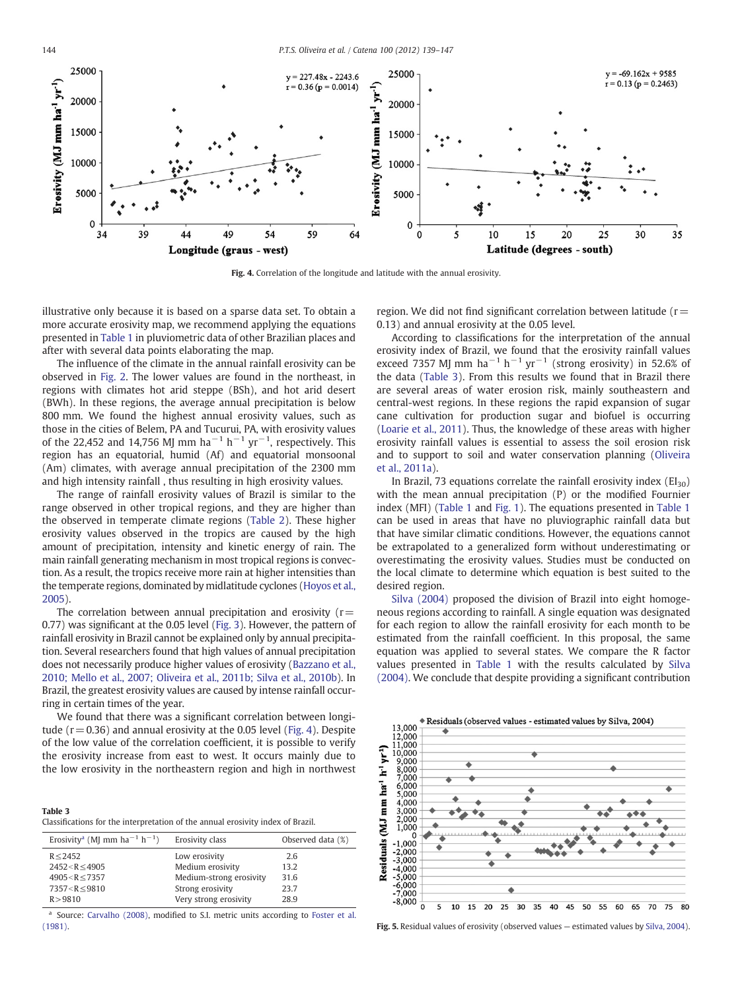<span id="page-5-0"></span>

Fig. 4. Correlation of the longitude and latitude with the annual erosivity.

illustrative only because it is based on a sparse data set. To obtain a more accurate erosivity map, we recommend applying the equations presented in [Table 1](#page-2-0) in pluviometric data of other Brazilian places and after with several data points elaborating the map.

The influence of the climate in the annual rainfall erosivity can be observed in [Fig. 2.](#page-4-0) The lower values are found in the northeast, in regions with climates hot arid steppe (BSh), and hot arid desert (BWh). In these regions, the average annual precipitation is below 800 mm. We found the highest annual erosivity values, such as those in the cities of Belem, PA and Tucurui, PA, with erosivity values of the 22,452 and 14,756 MJ mm ha<sup>-1</sup> h<sup>-1</sup> yr<sup>-1</sup>, respectively. This region has an equatorial, humid (Af) and equatorial monsoonal (Am) climates, with average annual precipitation of the 2300 mm and high intensity rainfall , thus resulting in high erosivity values.

The range of rainfall erosivity values of Brazil is similar to the range observed in other tropical regions, and they are higher than the observed in temperate climate regions ([Table 2](#page-4-0)). These higher erosivity values observed in the tropics are caused by the high amount of precipitation, intensity and kinetic energy of rain. The main rainfall generating mechanism in most tropical regions is convection. As a result, the tropics receive more rain at higher intensities than the temperate regions, dominated by midlatitude cyclones [\(Hoyos et al.,](#page-7-0) [2005\)](#page-7-0).

The correlation between annual precipitation and erosivity ( $r=$ 0.77) was significant at the 0.05 level ([Fig. 3\)](#page-4-0). However, the pattern of rainfall erosivity in Brazil cannot be explained only by annual precipitation. Several researchers found that high values of annual precipitation does not necessarily produce higher values of erosivity [\(Bazzano et al.,](#page-6-0) [2010; Mello et al., 2007; Oliveira et al., 2011b; Silva et al., 2010b\)](#page-6-0). In Brazil, the greatest erosivity values are caused by intense rainfall occurring in certain times of the year.

We found that there was a significant correlation between longitude  $(r= 0.36)$  and annual erosivity at the 0.05 level (Fig. 4). Despite of the low value of the correlation coefficient, it is possible to verify the erosivity increase from east to west. It occurs mainly due to the low erosivity in the northeastern region and high in northwest

Classifications for the interpretation of the annual erosivity index of Brazil.

| Erosivity <sup>a</sup> (MJ mm ha <sup>-1</sup> h <sup>-1</sup> )     | Erosivity class         | Observed data (%) |
|----------------------------------------------------------------------|-------------------------|-------------------|
| R < 2452                                                             | Low erosivity           | 2.6               |
| $2452 < R \leq 4905$                                                 | Medium erosivity        | 13.2              |
| $4905 < R \le 7357$                                                  | Medium-strong erosivity | 31.6              |
| 7357 <r≤9810< td=""><td>Strong erosivity</td><td>23.7</td></r≤9810<> | Strong erosivity        | 23.7              |
| R > 9810                                                             | Very strong erosivity   | 28.9              |

<sup>a</sup> Source: [Carvalho \(2008\),](#page-7-0) modified to S.I. metric units according to [Foster et al.](#page-7-0) [\(1981\)](#page-7-0). Fig. 5. Residual values of erosivity (observed values — estimated values by [Silva, 2004\)](#page-8-0).

region. We did not find significant correlation between latitude ( $r=$ 0.13) and annual erosivity at the 0.05 level.

According to classifications for the interpretation of the annual erosivity index of Brazil, we found that the erosivity rainfall values exceed 7357 MJ mm ha<sup>-1</sup> h<sup>-1</sup> yr<sup>-1</sup> (strong erosivity) in 52.6% of the data (Table 3). From this results we found that in Brazil there are several areas of water erosion risk, mainly southeastern and central-west regions. In these regions the rapid expansion of sugar cane cultivation for production sugar and biofuel is occurring [\(Loarie et al., 2011](#page-7-0)). Thus, the knowledge of these areas with higher erosivity rainfall values is essential to assess the soil erosion risk and to support to soil and water conservation planning [\(Oliveira](#page-7-0) [et al., 2011a\)](#page-7-0).

In Brazil, 73 equations correlate the rainfall erosivity index  $(EI_{30})$ with the mean annual precipitation (P) or the modified Fournier index (MFI) [\(Table 1](#page-2-0) and [Fig. 1](#page-1-0)). The equations presented in [Table 1](#page-2-0) can be used in areas that have no pluviographic rainfall data but that have similar climatic conditions. However, the equations cannot be extrapolated to a generalized form without underestimating or overestimating the erosivity values. Studies must be conducted on the local climate to determine which equation is best suited to the desired region.

[Silva \(2004\)](#page-8-0) proposed the division of Brazil into eight homogeneous regions according to rainfall. A single equation was designated for each region to allow the rainfall erosivity for each month to be estimated from the rainfall coefficient. In this proposal, the same equation was applied to several states. We compare the R factor values presented in [Table 1](#page-2-0) with the results calculated by [Silva](#page-8-0) [\(2004\).](#page-8-0) We conclude that despite providing a significant contribution

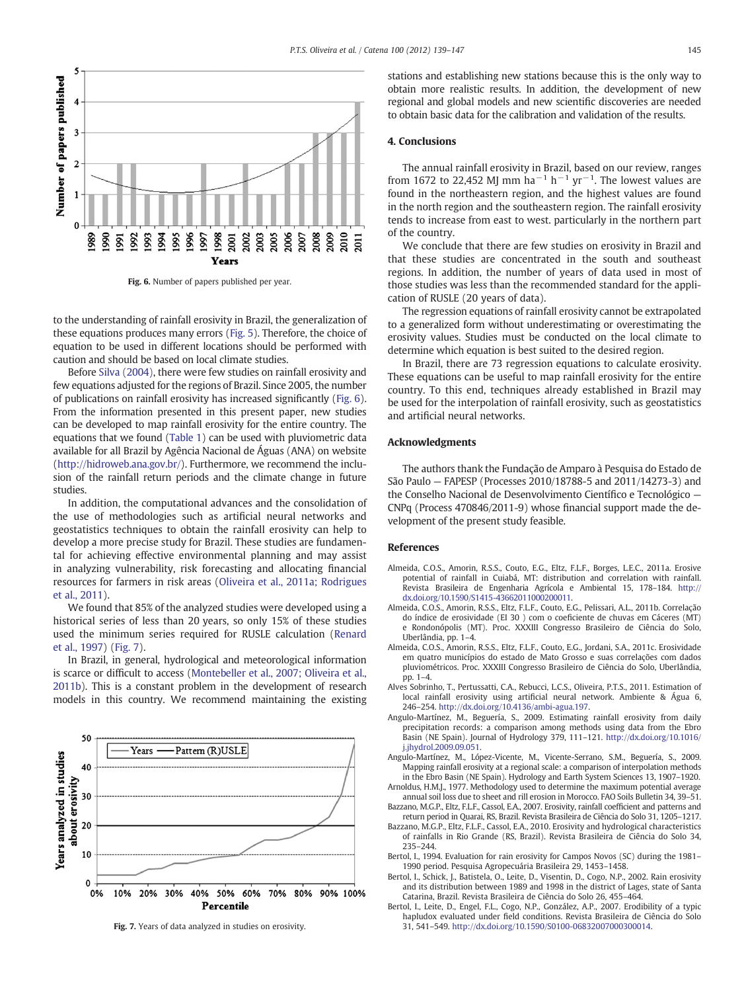<span id="page-6-0"></span>

Fig. 6. Number of papers published per year.

to the understanding of rainfall erosivity in Brazil, the generalization of these equations produces many errors [\(Fig. 5\)](#page-5-0). Therefore, the choice of equation to be used in different locations should be performed with caution and should be based on local climate studies.

Before [Silva \(2004\),](#page-8-0) there were few studies on rainfall erosivity and few equations adjusted for the regions of Brazil. Since 2005, the number of publications on rainfall erosivity has increased significantly (Fig. 6). From the information presented in this present paper, new studies can be developed to map rainfall erosivity for the entire country. The equations that we found ([Table 1\)](#page-2-0) can be used with pluviometric data available for all Brazil by Agência Nacional de Águas (ANA) on website [\(http://hidroweb.ana.gov.br/\)](http://hidroweb.ana.gov.br/). Furthermore, we recommend the inclusion of the rainfall return periods and the climate change in future studies.

In addition, the computational advances and the consolidation of the use of methodologies such as artificial neural networks and geostatistics techniques to obtain the rainfall erosivity can help to develop a more precise study for Brazil. These studies are fundamental for achieving effective environmental planning and may assist in analyzing vulnerability, risk forecasting and allocating financial resources for farmers in risk areas ([Oliveira et al., 2011a; Rodrigues](#page-7-0) [et al., 2011\)](#page-7-0).

We found that 85% of the analyzed studies were developed using a historical series of less than 20 years, so only 15% of these studies used the minimum series required for RUSLE calculation ([Renard](#page-7-0) [et al., 1997\)](#page-7-0) (Fig. 7).

In Brazil, in general, hydrological and meteorological information is scarce or difficult to access [\(Montebeller et al., 2007; Oliveira et al.,](#page-7-0) [2011b\)](#page-7-0). This is a constant problem in the development of research models in this country. We recommend maintaining the existing



Fig. 7. Years of data analyzed in studies on erosivity.

stations and establishing new stations because this is the only way to obtain more realistic results. In addition, the development of new regional and global models and new scientific discoveries are needed to obtain basic data for the calibration and validation of the results.

#### 4. Conclusions

The annual rainfall erosivity in Brazil, based on our review, ranges from 1672 to 22,452 MJ mm ha<sup>-1</sup> h<sup>-1</sup> yr<sup>-1</sup>. The lowest values are found in the northeastern region, and the highest values are found in the north region and the southeastern region. The rainfall erosivity tends to increase from east to west. particularly in the northern part of the country.

We conclude that there are few studies on erosivity in Brazil and that these studies are concentrated in the south and southeast regions. In addition, the number of years of data used in most of those studies was less than the recommended standard for the application of RUSLE (20 years of data).

The regression equations of rainfall erosivity cannot be extrapolated to a generalized form without underestimating or overestimating the erosivity values. Studies must be conducted on the local climate to determine which equation is best suited to the desired region.

In Brazil, there are 73 regression equations to calculate erosivity. These equations can be useful to map rainfall erosivity for the entire country. To this end, techniques already established in Brazil may be used for the interpolation of rainfall erosivity, such as geostatistics and artificial neural networks.

#### Acknowledgments

The authors thank the Fundação de Amparo à Pesquisa do Estado de São Paulo — FAPESP (Processes 2010/18788-5 and 2011/14273-3) and the Conselho Nacional de Desenvolvimento Científico e Tecnológico — CNPq (Process 470846/2011-9) whose financial support made the development of the present study feasible.

#### References

- Almeida, C.O.S., Amorin, R.S.S., Couto, E.G., Eltz, F.L.F., Borges, L.E.C., 2011a. Erosive potential of rainfall in Cuiabá, MT: distribution and correlation with rainfall. Revista Brasileira de Engenharia Agrícola e Ambiental 15, 178–184. http:// dx.doi.org/[10.1590/S1415-43662011000200011](http://dx.doi.org/10.1590/S1415-43662011000200011).
- Almeida, C.O.S., Amorin, R.S.S., Eltz, F.L.F., Couto, E.G., Pelissari, A.L., 2011b. Correlação do índice de erosividade (EI 30 ) com o coeficiente de chuvas em Cáceres (MT) e Rondonópolis (MT). Proc. XXXIII Congresso Brasileiro de Ciência do Solo, Uberlândia, pp. 1–4.
- Almeida, C.O.S., Amorin, R.S.S., Eltz, F.L.F., Couto, E.G., Jordani, S.A., 2011c. Erosividade em quatro municípios do estado de Mato Grosso e suas correlações com dados pluviométricos. Proc. XXXIII Congresso Brasileiro de Ciência do Solo, Uberlândia, pp. 1–4.
- Alves Sobrinho, T., Pertussatti, C.A., Rebucci, L.C.S., Oliveira, P.T.S., 2011. Estimation of local rainfall erosivity using artificial neural network. Ambiente & Água 6, 246–254. http://dx.doi.org/[10.4136/ambi-agua.197](http://dx.doi.org/10.4136/ambi-agua.197).
- Angulo-Martínez, M., Beguería, S., 2009. Estimating rainfall erosivity from daily precipitation records: a comparison among methods using data from the Ebro Basin (NE Spain). Journal of Hydrology 379, 111–121. http://dx.doi.org/[10.1016/](http://dx.doi.org/10.1016/j.jhydrol.2009.09.051) [j.jhydrol.2009.09.051](http://dx.doi.org/10.1016/j.jhydrol.2009.09.051).
- Angulo-Martínez, M., López-Vicente, M., Vicente-Serrano, S.M., Beguería, S., 2009. Mapping rainfall erosivity at a regional scale: a comparison of interpolation methods in the Ebro Basin (NE Spain). Hydrology and Earth System Sciences 13, 1907–1920.
- Arnoldus, H.M.J., 1977. Methodology used to determine the maximum potential average annual soil loss due to sheet and rill erosion in Morocco. FAO Soils Bulletin 34, 39–51.
- Bazzano, M.G.P., Eltz, F.L.F., Cassol, E.A., 2007. Erosivity, rainfall coefficient and patterns and return period in Quarai, RS, Brazil. Revista Brasileira de Ciência do Solo 31, 1205–1217.
- Bazzano, M.G.P., Eltz, F.L.F., Cassol, E.A., 2010. Erosivity and hydrological characteristics of rainfalls in Rio Grande (RS, Brazil). Revista Brasileira de Ciência do Solo 34, 235–244.
- Bertol, I., 1994. Evaluation for rain erosivity for Campos Novos (SC) during the 1981– 1990 period. Pesquisa Agropecuária Brasileira 29, 1453–1458.
- Bertol, I., Schick, J., Batistela, O., Leite, D., Visentin, D., Cogo, N.P., 2002. Rain erosivity and its distribution between 1989 and 1998 in the district of Lages, state of Santa Catarina, Brazil. Revista Brasileira de Ciência do Solo 26, 455–464.
- Bertol, I., Leite, D., Engel, F.L., Cogo, N.P., González, A.P., 2007. Erodibility of a typic hapludox evaluated under field conditions. Revista Brasileira de Ciência do Solo 31, 541–549. http://dx.doi.org/[10.1590/S0100-06832007000300014](http://dx.doi.org/10.1590/S0100-06832007000300014).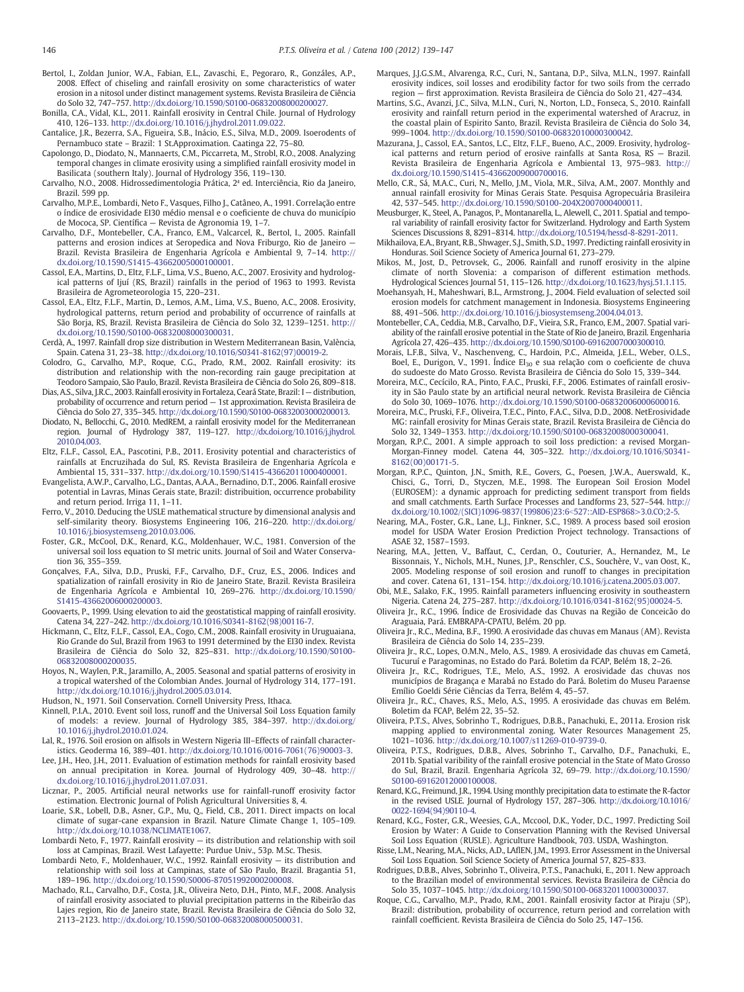<span id="page-7-0"></span>Bertol, I., Zoldan Junior, W.A., Fabian, E.L., Zavaschi, E., Pegoraro, R., Gonzáles, A.P., 2008. Effect of chiseling and rainfall erosivity on some characteristics of water erosion in a nitosol under distinct management systems. Revista Brasileira de Ciência do Solo 32, 747–757. http://dx.doi.org/[10.1590/S0100-06832008000200027](http://dx.doi.org/10.1590/S0100-06832008000200027).

- Bonilla, C.A., Vidal, K.L., 2011. Rainfall erosivity in Central Chile. Journal of Hydrology 410, 126–133. http://dx.doi.org/[10.1016/j.jhydrol.2011.09.022.](http://dx.doi.org/10.1016/j.jhydrol.2011.09.022)
- Cantalice, J.R., Bezerra, S.A., Figueira, S.B., Inácio, E.S., Silva, M.D., 2009. Isoerodents of Pernambuco state – Brazil: 1 St.Approximation. Caatinga 22, 75–80.
- Capolongo, D., Diodato, N., Mannaerts, C.M., Piccarreta, M., Strobl, R.O., 2008. Analyzing temporal changes in climate erosivity using a simplified rainfall erosivity model in Basilicata (southern Italy). Journal of Hydrology 356, 119–130.
- Carvalho, N.O., 2008. Hidrossedimentologia Prática, 2ª ed. Interciência, Rio da Janeiro, Brazil. 599 pp.
- Carvalho, M.P.E., Lombardi, Neto F., Vasques, Filho J., Catâneo, A., 1991. Correlação entre o índice de erosividade EI30 médio mensal e o coeficiente de chuva do município de Mococa, SP. Científica — Revista de Agronomia 19, 1–7.
- Carvalho, D.F., Montebeller, C.A., Franco, E.M., Valcarcel, R., Bertol, I., 2005. Rainfall patterns and erosion indices at Seropedica and Nova Friburgo, Rio de Janeiro — Brazil. Revista Brasileira de Engenharia Agrícola e Ambiental 9, 7–14. http:// dx.doi.org[/10.1590/S1415-43662005000100001](http://dx.doi.org/10.1590/S1415-43662005000100001).
- Cassol, E.A., Martins, D., Eltz, F.L.F., Lima, V.S., Bueno, A.C., 2007. Erosivity and hydrological patterns of Ijuí (RS, Brazil) rainfalls in the period of 1963 to 1993. Revista Brasileira de Agrometeorologia 15, 220–231.
- Cassol, E.A., Eltz, F.L.F., Martin, D., Lemos, A.M., Lima, V.S., Bueno, A.C., 2008. Erosivity, hydrological patterns, return period and probability of occurrence of rainfalls at São Borja, RS, Brazil. Revista Brasileira de Ciência do Solo 32, 1239–1251. http:// dx.doi.org[/10.1590/S0100-06832008000300031](http://dx.doi.org/10.1590/S0100-06832008000300031).
- Cerdà, A., 1997. Rainfall drop size distribution in Western Mediterranean Basin, València, Spain. Catena 31, 23–38. http://dx.doi.org[/10.1016/S0341-8162\(97\)00019-2](http://dx.doi.org/10.1016/S0341-8162(97)00019-2).
- Colodro, G., Carvalho, M.P., Roque, C.G., Prado, R.M., 2002. Rainfall erosivity: its distribution and relationship with the non-recording rain gauge precipitation at Teodoro Sampaio, São Paulo, Brazil. Revista Brasileira de Ciência do Solo 26, 809–818.
- Dias, A.S., Silva, J.R.C., 2003. Rainfall erosivity in Fortaleza, Ceará State, Brazil: I distribution, probability of occurrence and return period — 1st approximation. Revista Brasileira de Ciência do Solo 27, 335–345. http://dx.doi.org[/10.1590/S0100-06832003000200013.](http://dx.doi.org/10.1590/S0100-06832003000200013)
- Diodato, N., Bellocchi, G., 2010. MedREM, a rainfall erosivity model for the Mediterranean region. Journal of Hydrology 387, 119–127. http://dx.doi.org[/10.1016/j.jhydrol.](http://dx.doi.org/10.1016/j.jhydrol.2010.04.003) [2010.04.003](http://dx.doi.org/10.1016/j.jhydrol.2010.04.003).
- Eltz, F.L.F., Cassol, E.A., Pascotini, P.B., 2011. Erosivity potential and characteristics of rainfalls at Encruzihada do Sul, RS. Revista Brasileira de Engenharia Agrícola e Ambiental 15, 331–337. http://dx.doi.org/[10.1590/S1415-43662011000400001](http://dx.doi.org/10.1590/S1415-43662011000400001).
- Evangelista, A.W.P., Carvalho, L.G., Dantas, A.A.A., Bernadino, D.T., 2006. Rainfall erosive potential in Lavras, Minas Gerais state, Brazil: distribuition, occurrence probability and return period. Irriga 11, 1–11.
- Ferro, V., 2010. Deducing the USLE mathematical structure by dimensional analysis and self-similarity theory. Biosystems Engineering 106, 216–220. http://dx.doi.org/ [10.1016/j.biosystemseng.2010.03.006](http://dx.doi.org/10.1016/j.biosystemseng.2010.03.006).
- Foster, G.R., McCool, D.K., Renard, K.G., Moldenhauer, W.C., 1981. Conversion of the universal soil loss equation to SI metric units. Journal of Soil and Water Conservation 36, 355–359.
- Gonçalves, F.A., Silva, D.D., Pruski, F.F., Carvalho, D.F., Cruz, E.S., 2006. Indices and spatialization of rainfall erosivity in Rio de Janeiro State, Brazil. Revista Brasileira de Engenharia Agrícola e Ambiental 10, 269–276. http://dx.doi.org/[10.1590/](http://dx.doi.org/10.1590/S1415-43662006000200003) [S1415-43662006000200003](http://dx.doi.org/10.1590/S1415-43662006000200003).
- Goovaerts, P., 1999. Using elevation to aid the geostatistical mapping of rainfall erosivity. Catena 34, 227–242. http://dx.doi.org[/10.1016/S0341-8162\(98\)00116-7.](http://dx.doi.org/10.1016/S0341-8162(98)00116-7)
- Hickmann, C., Eltz, F.L.F., Cassol, E.A., Cogo, C.M., 2008. Rainfall erosivity in Uruguaiana, Rio Grande do Sul, Brazil from 1963 to 1991 determined by the EI30 index. Revista Brasileira de Ciência do Solo 32, 825–831. http://dx.doi.org/[10.1590/S0100-](http://dx.doi.org/10.1590/S0100-06832008000200035) [06832008000200035.](http://dx.doi.org/10.1590/S0100-06832008000200035)
- Hoyos, N., Waylen, P.R., Jaramillo, A., 2005. Seasonal and spatial patterns of erosivity in a tropical watershed of the Colombian Andes. Journal of Hydrology 314, 177–191. http://dx.doi.org[/10.1016/j.jhydrol.2005.03.014.](http://dx.doi.org/10.1016/j.jhydrol.2005.03.014)
- Hudson, N., 1971. Soil Conservation. Cornell University Press, Ithaca.
- Kinnell, P.I.A., 2010. Event soil loss, runoff and the Universal Soil Loss Equation family of models: a review. Journal of Hydrology 385, 384–397. http://dx.doi.org/ [10.1016/j.jhydrol.2010.01.024](http://dx.doi.org/10.1016/j.jhydrol.2010.01.024).
- Lal, R., 1976. Soil erosion on alfisols in Western Nigeria III–Effects of rainfall characteristics. Geoderma 16, 389–401. http://dx.doi.org/[10.1016/0016-7061\(76\)90003-3](http://dx.doi.org/10.1016/0016-7061(76)90003-3).
- Lee, J.H., Heo, J.H., 2011. Evaluation of estimation methods for rainfall erosivity based on annual precipitation in Korea. Journal of Hydrology 409, 30–48. http:// dx.doi.org[/10.1016/j.jhydrol.2011.07.031.](http://dx.doi.org/10.1016/j.jhydrol.2011.07.031)
- Licznar, P., 2005. Artificial neural networks use for rainfall-runoff erosivity factor estimation. Electronic Journal of Polish Agricultural Universities 8, 4.
- Loarie, S.R., Lobell, D.B., Asner, G.P., Mu, Q., Field, C.B., 2011. Direct impacts on local climate of sugar-cane expansion in Brazil. Nature Climate Change 1, 105–109. http://dx.doi.org[/10.1038/NCLIMATE1067](http://dx.doi.org/10.1038/NCLIMATE1067).
- Lombardi Neto, F., 1977. Rainfall erosivity its distribution and relationship with soil loss at Campinas, Brazil. West Lafayette: Purdue Univ., 53p. M.Sc. Thesis.
- Lombardi Neto, F., Moldenhauer, W.C., 1992. Rainfall erosivity its distribution and relationship with soil loss at Campinas, state of São Paulo, Brazil. Bragantia 51, 189–196. http://dx.doi.org[/10.1590/S0006-87051992000200008.](http://dx.doi.org/10.1590/S0006-87051992000200008)
- Machado, R.L., Carvalho, D.F., Costa, J.R., Oliveira Neto, D.H., Pinto, M.F., 2008. Analysis of rainfall erosivity associated to pluvial precipitation patterns in the Ribeirão das Lajes region, Rio de Janeiro state, Brazil. Revista Brasileira de Ciência do Solo 32, 2113–2123. http://dx.doi.org/[10.1590/S0100-06832008000500031.](http://dx.doi.org/10.1590/S0100-06832008000500031)
- Marques, J.J.G.S.M., Alvarenga, R.C., Curi, N., Santana, D.P., Silva, M.L.N., 1997. Rainfall erosivity indices, soil losses and erodibility factor for two soils from the cerrado region — first approximation. Revista Brasileira de Ciência do Solo 21, 427–434.
- Martins, S.G., Avanzi, J.C., Silva, M.L.N., Curi, N., Norton, L.D., Fonseca, S., 2010. Rainfall erosivity and rainfall return period in the experimental watershed of Aracruz, in the coastal plain of Espirito Santo, Brazil. Revista Brasileira de Ciência do Solo 34, 999–1004. http://dx.doi.org/[10.1590/S0100-06832010000300042](http://dx.doi.org/10.1590/S0100-06832010000300042).
- Mazurana, J., Cassol, E.A., Santos, L.C., Eltz, F.L.F., Bueno, A.C., 2009. Erosivity, hydrological patterns and return period of erosive rainfalls at Santa Rosa, RS — Brazil. Revista Brasileira de Engenharia Agrícola e Ambiental 13, 975–983. http:// dx.doi.org[/10.1590/S1415-43662009000700016](http://dx.doi.org/10.1590/S1415-43662009000700016).
- Mello, C.R., Sá, M.A.C., Curi, N., Mello, J.M., Viola, M.R., Silva, A.M., 2007. Monthly and annual rainfall erosivity for Minas Gerais State. Pesquisa Agropecuária Brasileira 42, 537–545. http://dx.doi.org/[10.1590/S0100-204X2007000400011.](http://dx.doi.org/10.1590/S0100-204X2007000400011)
- Meusburger, K., Steel, A., Panagos, P., Montanarella, L., Alewell, C., 2011. Spatial and temporal variability of rainfall erosivity factor for Switzerland. Hydrology and Earth System Sciences Discussions 8, 8291–8314. http://dx.doi.org[/10.5194/hessd-8-8291-2011](http://dx.doi.org/10.5194/hessd-8-8291-2011).
- Mikhailova, E.A., Bryant, R.B., Shwager, S.J., Smith, S.D., 1997. Predicting rainfall erosivity in Honduras. Soil Science Society of America Journal 61, 273–279.
- Mikos, M., Jost, D., Petrovsek, G., 2006. Rainfall and runoff erosivity in the alpine climate of north Slovenia: a comparison of different estimation methods. Hydrological Sciences Journal 51, 115–126. http://dx.doi.org[/10.1623/hysj.51.1.115](http://dx.doi.org/10.1623/hysj.51.1.115).
- Moehansyah, H., Maheshwari, B.L., Armstrong, J., 2004. Field evaluation of selected soil erosion models for catchment management in Indonesia. Biosystems Engineering 88, 491–506. http://dx.doi.org/[10.1016/j.biosystemseng.2004.04.013](http://dx.doi.org/10.1016/j.biosystemseng.2004.04.013).
- Montebeller, C.A., Ceddia, M.B., Carvalho, D.F., Vieira, S.R., Franco, E.M., 2007. Spatial variability of the rainfall erosive potential in the State of Rio de Janeiro, Brazil. Engenharia Agrícola 27, 426–435. http://dx.doi.org/[10.1590/S0100-69162007000300010](http://dx.doi.org/10.1590/S0100-69162007000300010).
- Morais, L.F.B., Silva, V., Naschenveng, C., Hardoin, P.C., Almeida, J.E.L., Weber, O.L.S., Boel, E., Durigon, V., 1991. Índice  $EI_{30}$  e sua relação com o coeficiente de chuva do sudoeste do Mato Grosso. Revista Brasileira de Ciência do Solo 15, 339–344.
- Moreira, M.C., Cecícilo, R.A., Pinto, F.A.C., Pruski, F.F., 2006. Estimates of rainfall erosivity in São Paulo state by an artificial neural network. Revista Brasileira de Ciência do Solo 30, 1069–1076. http://dx.doi.org/[10.1590/S0100-06832006000600016](http://dx.doi.org/10.1590/S0100-06832006000600016).
- Moreira, M.C., Pruski, F.F., Oliveira, T.E.C., Pinto, F.A.C., Silva, D.D., 2008. NetErosividade MG: rainfall erosivity for Minas Gerais state, Brazil. Revista Brasileira de Ciência do Solo 32, 1349–1353. http://dx.doi.org[/10.1590/S0100-06832008000300041.](http://dx.doi.org/10.1590/S0100-06832008000300041)
- Morgan, R.P.C., 2001. A simple approach to soil loss prediction: a revised Morgan-Morgan-Finney model. Catena 44, 305–322. http://dx.doi.org[/10.1016/S0341-](http://dx.doi.org/10.1016/S0341-8162(00)00171-5) [8162\(00\)00171-5.](http://dx.doi.org/10.1016/S0341-8162(00)00171-5)
- Morgan, R.P.C., Quinton, J.N., Smith, R.E., Govers, G., Poesen, J.W.A., Auerswald, K., Chisci, G., Torri, D., Styczen, M.E., 1998. The European Soil Erosion Model (EUROSEM): a dynamic approach for predicting sediment transport from fields and small catchments. Earth Surface Processes and Landforms 23, 527–544. http:// dx.doi.org[/10.1002/\(SICI\)1096-9837\(199806\)23:6](http://dx.doi.org/10.1002/(SICI)1096-9837(199806)23:6<527::AID-ESP868>/;3.0.CO;2-5)<[527::AID-ESP868>3.0.CO;2-5.](http://dx.doi.org/10.1002/(SICI)1096-9837(199806)23:6<527::AID-ESP868>/;3.0.CO;2-5)
- Nearing, M.A., Foster, G.R., Lane, L.J., Finkner, S.C., 1989. A process based soil erosion model for USDA Water Erosion Prediction Project technology. Transactions of ASAE 32, 1587–1593.
- Nearing, M.A., Jetten, V., Baffaut, C., Cerdan, O., Couturier, A., Hernandez, M., Le Bissonnais, Y., Nichols, M.H., Nunes, J.P., Renschler, C.S., Souchère, V., van Oost, K., 2005. Modeling response of soil erosion and runoff to changes in precipitation and cover. Catena 61, 131–154. http://dx.doi.org/[10.1016/j.catena.2005.03.007](http://dx.doi.org/10.1016/j.catena.2005.03.007).
- Obi, M.E., Salako, F.K., 1995. Rainfall parameters influencing erosivity in southeastern Nigeria. Catena 24, 275–287. http://dx.doi.org/[10.1016/0341-8162\(95\)00024-5.](http://dx.doi.org/10.1016/0341-8162(95)00024-5)
- Oliveira Jr., R.C., 1996. Índice de Erosividade das Chuvas na Região de Conceicão do Araguaia, Pará. EMBRAPA-CPATU, Belém. 20 pp.
- Oliveira Jr., R.C., Medina, B.F., 1990. A erosividade das chuvas em Manaus (AM). Revista Brasileira de Ciência do Solo 14, 235–239.
- Oliveira Jr., R.C., Lopes, O.M.N., Melo, A.S., 1989. A erosividade das chuvas em Cametá, Tucuruí e Paragominas, no Estado do Pará. Boletim da FCAP, Belém 18, 2–26.
- Oliveira Jr., R.C., Rodrigues, T.E., Melo, A.S., 1992. A erosividade das chuvas nos municípios de Bragança e Marabá no Estado do Pará. Boletim do Museu Paraense Emílio Goeldi Série Ciências da Terra, Belém 4, 45–57.
- Oliveira Jr., R.C., Chaves, R.S., Melo, A.S., 1995. A erosividade das chuvas em Belém. Boletim da FCAP, Belém 22, 35–52.
- Oliveira, P.T.S., Alves, Sobrinho T., Rodrigues, D.B.B., Panachuki, E., 2011a. Erosion risk mapping applied to environmental zoning. Water Resources Management 25, 1021–1036. http://dx.doi.org/[10.1007/s11269-010-9739-0](http://dx.doi.org/10.1007/s11269-010-9739-0).
- Oliveira, P.T.S., Rodrigues, D.B.B., Alves, Sobrinho T., Carvalho, D.F., Panachuki, E., 2011b. Spatial varibility of the rainfall erosive potencial in the State of Mato Grosso do Sul, Brazil, Brazil. Engenharia Agrícola 32, 69–79. http://dx.doi.org/[10.1590/](http://dx.doi.org/10.1590/S0100-69162012000100008) [S0100-69162012000100008](http://dx.doi.org/10.1590/S0100-69162012000100008).
- Renard, K.G., Freimund, J.R., 1994. Using monthly precipitation data to estimate the R-factor in the revised USLE. Journal of Hydrology 157, 287–306. http://dx.doi.org[/10.1016/](http://dx.doi.org/10.1016/0022-1694(94)90110-4) [0022-1694\(94\)90110-4](http://dx.doi.org/10.1016/0022-1694(94)90110-4).
- Renard, K.G., Foster, G.R., Weesies, G.A., Mccool, D.K., Yoder, D.C., 1997. Predicting Soil Erosion by Water: A Guide to Conservation Planning with the Revised Universal Soil Loss Equation (RUSLE). Agriculture Handbook, 703. USDA, Washington.
- Risse, L.M., Nearing, M.A., Nicks, A.D., LAflEN, J.M., 1993. Error Assessment in the Universal Soil Loss Equation. Soil Science Society of America Journal 57, 825–833.
- Rodrigues, D.B.B., Alves, Sobrinho T., Oliveira, P.T.S., Panachuki, E., 2011. New approach to the Brazilian model of environmental services. Revista Brasileira de Ciência do Solo 35, 1037–1045. http://dx.doi.org[/10.1590/S0100-06832011000300037.](http://dx.doi.org/10.1590/S0100-06832011000300037)
- Roque, C.G., Carvalho, M.P., Prado, R.M., 2001. Rainfall erosivity factor at Piraju (SP), Brazil: distribution, probability of occurrence, return period and correlation with rainfall coefficient. Revista Brasileira de Ciência do Solo 25, 147–156.